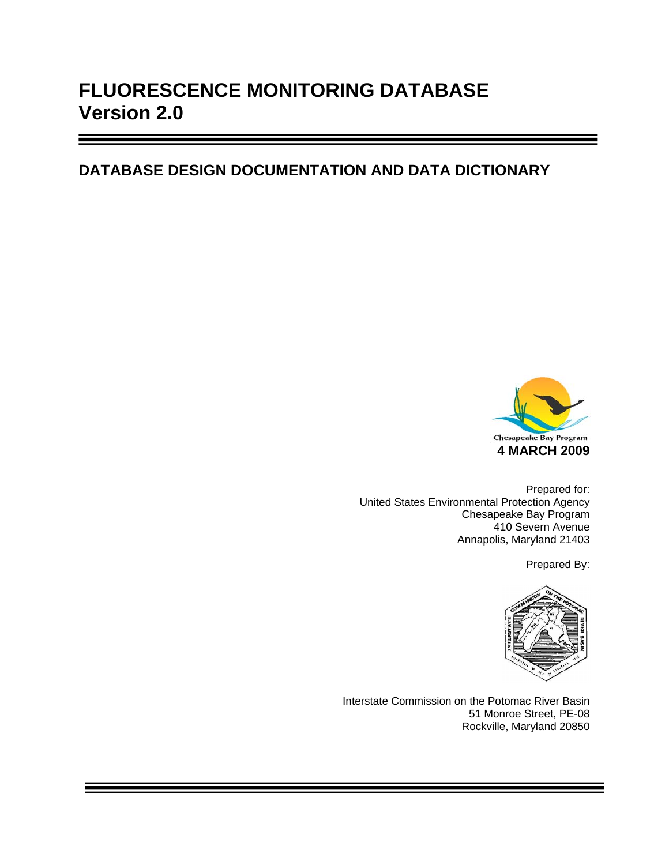# **FLUORESCENCE MONITORING DATABASE Version 2.0**

## **DATABASE DESIGN DOCUMENTATION AND DATA DICTIONARY**



Prepared for: United States Environmental Protection Agency Chesapeake Bay Program 410 Severn Avenue Annapolis, Maryland 21403

Prepared By:



Interstate Commission on the Potomac River Basin 51 Monroe Street, PE-08 Rockville, Maryland 20850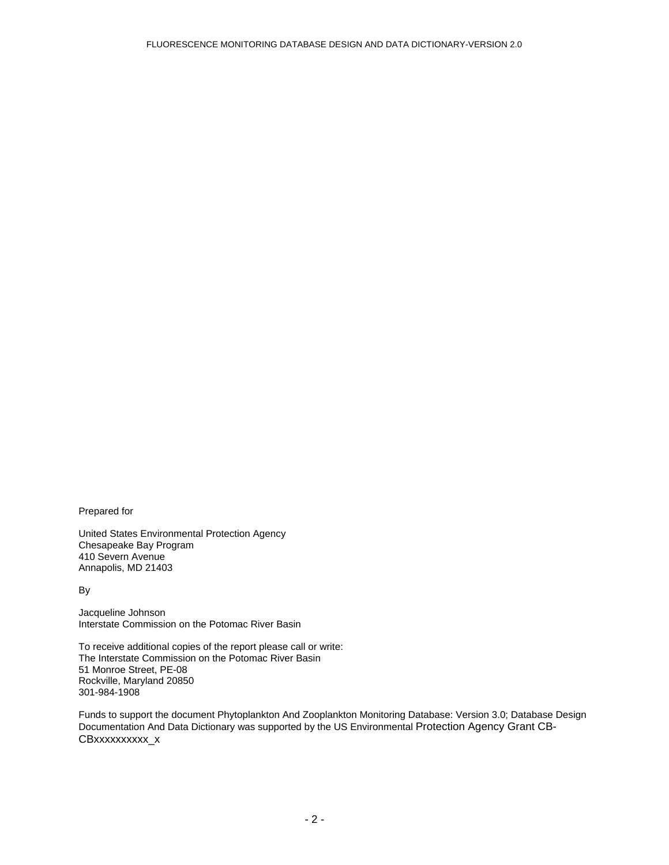Prepared for

United States Environmental Protection Agency Chesapeake Bay Program 410 Severn Avenue Annapolis, MD 21403

By

Jacqueline Johnson Interstate Commission on the Potomac River Basin

To receive additional copies of the report please call or write: The Interstate Commission on the Potomac River Basin 51 Monroe Street, PE-08 Rockville, Maryland 20850 301-984-1908

Funds to support the document Phytoplankton And Zooplankton Monitoring Database: Version 3.0; Database Design Documentation And Data Dictionary was supported by the US Environmental Protection Agency Grant CB-CBxxxxxxxxxx\_x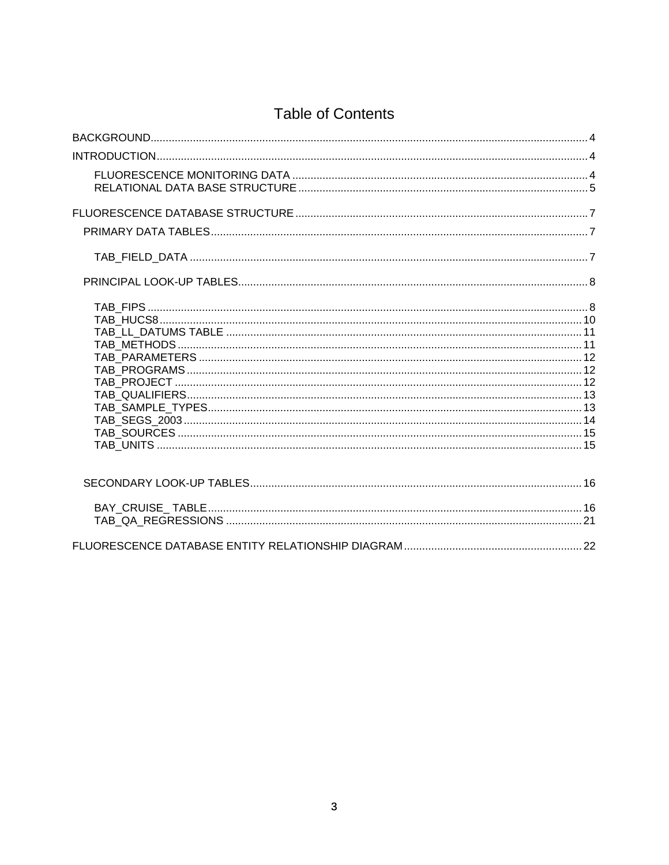## **Table of Contents**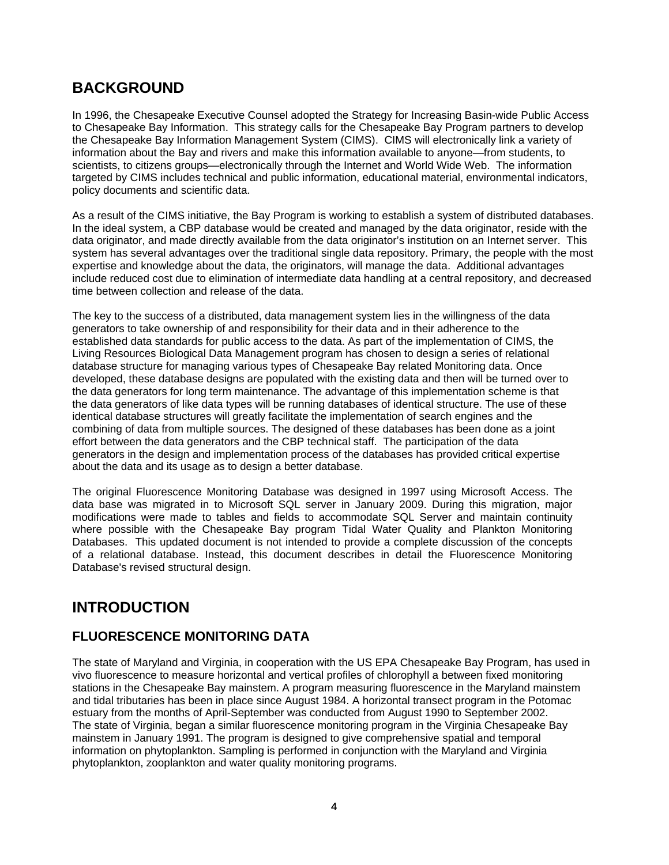### **BACKGROUND**

In 1996, the Chesapeake Executive Counsel adopted the Strategy for Increasing Basin-wide Public Access to Chesapeake Bay Information. This strategy calls for the Chesapeake Bay Program partners to develop the Chesapeake Bay Information Management System (CIMS). CIMS will electronically link a variety of information about the Bay and rivers and make this information available to anyone—from students, to scientists, to citizens groups—electronically through the Internet and World Wide Web. The information targeted by CIMS includes technical and public information, educational material, environmental indicators, policy documents and scientific data.

As a result of the CIMS initiative, the Bay Program is working to establish a system of distributed databases. In the ideal system, a CBP database would be created and managed by the data originator, reside with the data originator, and made directly available from the data originator's institution on an Internet server. This system has several advantages over the traditional single data repository. Primary, the people with the most expertise and knowledge about the data, the originators, will manage the data. Additional advantages include reduced cost due to elimination of intermediate data handling at a central repository, and decreased time between collection and release of the data.

The key to the success of a distributed, data management system lies in the willingness of the data generators to take ownership of and responsibility for their data and in their adherence to the established data standards for public access to the data. As part of the implementation of CIMS, the Living Resources Biological Data Management program has chosen to design a series of relational database structure for managing various types of Chesapeake Bay related Monitoring data. Once developed, these database designs are populated with the existing data and then will be turned over to the data generators for long term maintenance. The advantage of this implementation scheme is that the data generators of like data types will be running databases of identical structure. The use of these identical database structures will greatly facilitate the implementation of search engines and the combining of data from multiple sources. The designed of these databases has been done as a joint effort between the data generators and the CBP technical staff. The participation of the data generators in the design and implementation process of the databases has provided critical expertise about the data and its usage as to design a better database.

The original Fluorescence Monitoring Database was designed in 1997 using Microsoft Access. The data base was migrated in to Microsoft SQL server in January 2009. During this migration, major modifications were made to tables and fields to accommodate SQL Server and maintain continuity where possible with the Chesapeake Bay program Tidal Water Quality and Plankton Monitoring Databases. This updated document is not intended to provide a complete discussion of the concepts of a relational database. Instead, this document describes in detail the Fluorescence Monitoring Database's revised structural design.

## **INTRODUCTION**

#### **FLUORESCENCE MONITORING DATA**

The state of Maryland and Virginia, in cooperation with the US EPA Chesapeake Bay Program, has used in vivo fluorescence to measure horizontal and vertical profiles of chlorophyll a between fixed monitoring stations in the Chesapeake Bay mainstem. A program measuring fluorescence in the Maryland mainstem and tidal tributaries has been in place since August 1984. A horizontal transect program in the Potomac estuary from the months of April-September was conducted from August 1990 to September 2002. The state of Virginia, began a similar fluorescence monitoring program in the Virginia Chesapeake Bay mainstem in January 1991. The program is designed to give comprehensive spatial and temporal information on phytoplankton. Sampling is performed in conjunction with the Maryland and Virginia phytoplankton, zooplankton and water quality monitoring programs.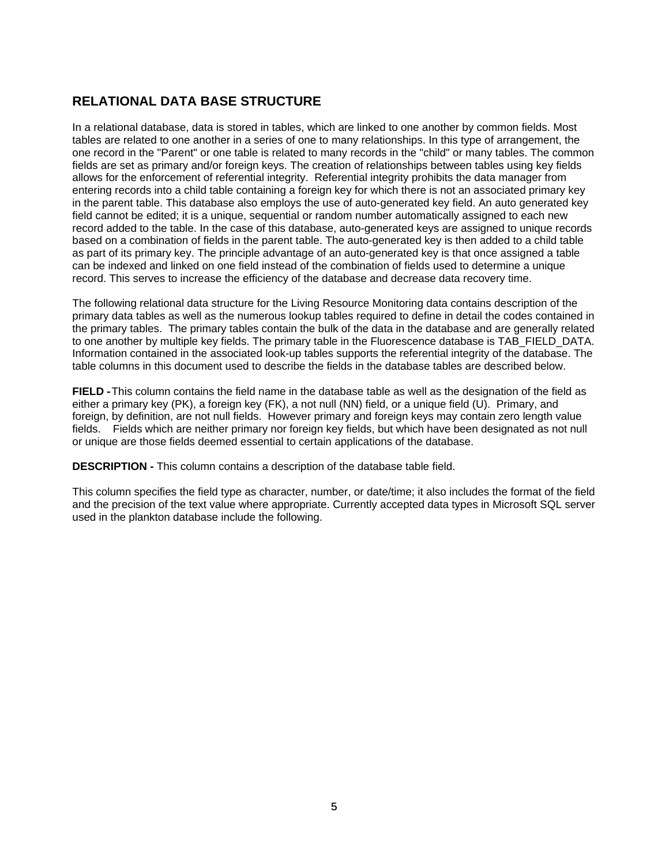#### **RELATIONAL DATA BASE STRUCTURE**

In a relational database, data is stored in tables, which are linked to one another by common fields. Most tables are related to one another in a series of one to many relationships. In this type of arrangement, the one record in the "Parent" or one table is related to many records in the "child" or many tables. The common fields are set as primary and/or foreign keys. The creation of relationships between tables using key fields allows for the enforcement of referential integrity. Referential integrity prohibits the data manager from entering records into a child table containing a foreign key for which there is not an associated primary key in the parent table. This database also employs the use of auto-generated key field. An auto generated key field cannot be edited; it is a unique, sequential or random number automatically assigned to each new record added to the table. In the case of this database, auto-generated keys are assigned to unique records based on a combination of fields in the parent table. The auto-generated key is then added to a child table as part of its primary key. The principle advantage of an auto-generated key is that once assigned a table can be indexed and linked on one field instead of the combination of fields used to determine a unique record. This serves to increase the efficiency of the database and decrease data recovery time.

The following relational data structure for the Living Resource Monitoring data contains description of the primary data tables as well as the numerous lookup tables required to define in detail the codes contained in the primary tables. The primary tables contain the bulk of the data in the database and are generally related to one another by multiple key fields. The primary table in the Fluorescence database is TAB\_FIELD\_DATA. Information contained in the associated look-up tables supports the referential integrity of the database. The table columns in this document used to describe the fields in the database tables are described below.

**FIELD -** This column contains the field name in the database table as well as the designation of the field as either a primary key (PK), a foreign key (FK), a not null (NN) field, or a unique field (U). Primary, and foreign, by definition, are not null fields. However primary and foreign keys may contain zero length value fields. Fields which are neither primary nor foreign key fields, but which have been designated as not null or unique are those fields deemed essential to certain applications of the database.

**DESCRIPTION -** This column contains a description of the database table field.

This column specifies the field type as character, number, or date/time; it also includes the format of the field and the precision of the text value where appropriate. Currently accepted data types in Microsoft SQL server used in the plankton database include the following.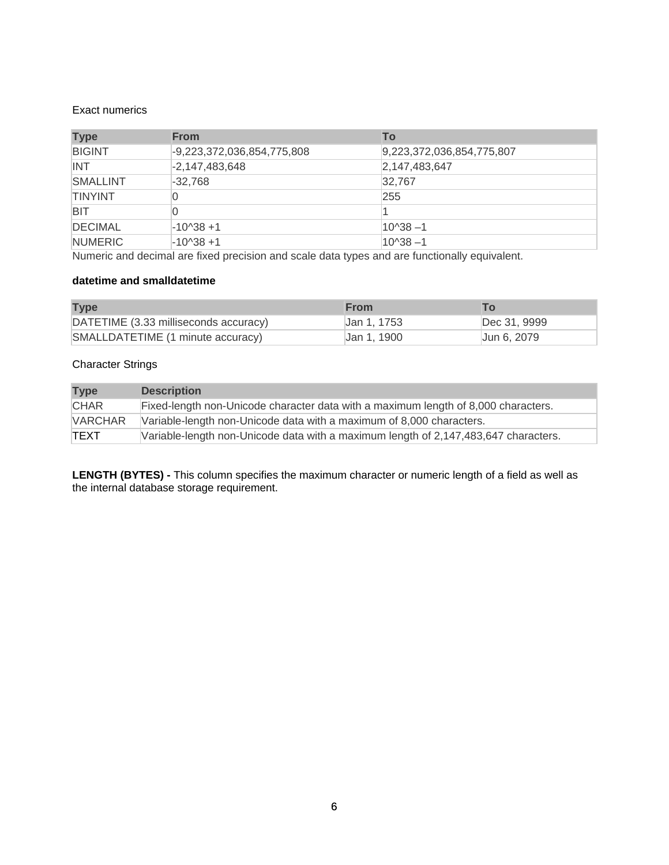#### Exact numerics

| <b>Type</b>     | <b>From</b>                  | To                        |
|-----------------|------------------------------|---------------------------|
| <b>BIGINT</b>   | $-9,223,372,036,854,775,808$ | 9,223,372,036,854,775,807 |
| <b>INT</b>      | $-2,147,483,648$             | 2,147,483,647             |
| <b>SMALLINT</b> | $-32.768$                    | 32.767                    |
| <b>TINYINT</b>  |                              | 255                       |
| <b>BIT</b>      |                              |                           |
| <b>DECIMAL</b>  | $-10^{38} + 1$               | $10^{38} - 1$             |
| <b>NUMERIC</b>  | $-10^{38} + 1$               | $10^{38} - 1$             |

Numeric and decimal are fixed precision and scale data types and are functionally equivalent.

#### **datetime and smalldatetime**

| <b>Type</b>                           | <b>From</b> |              |
|---------------------------------------|-------------|--------------|
| DATETIME (3.33 milliseconds accuracy) | Jan 1, 1753 | Dec 31, 9999 |
| SMALLDATETIME (1 minute accuracy)     | Jan 1, 1900 | Jun 6, 2079  |

#### Character Strings

| <b>Type</b>    | <b>Description</b>                                                                  |
|----------------|-------------------------------------------------------------------------------------|
| <b>CHAR</b>    | Fixed-length non-Unicode character data with a maximum length of 8,000 characters.  |
| <b>VARCHAR</b> | Variable-length non-Unicode data with a maximum of 8,000 characters.                |
| <b>TEXT</b>    | Variable-length non-Unicode data with a maximum length of 2,147,483,647 characters. |

**LENGTH (BYTES) -** This column specifies the maximum character or numeric length of a field as well as the internal database storage requirement.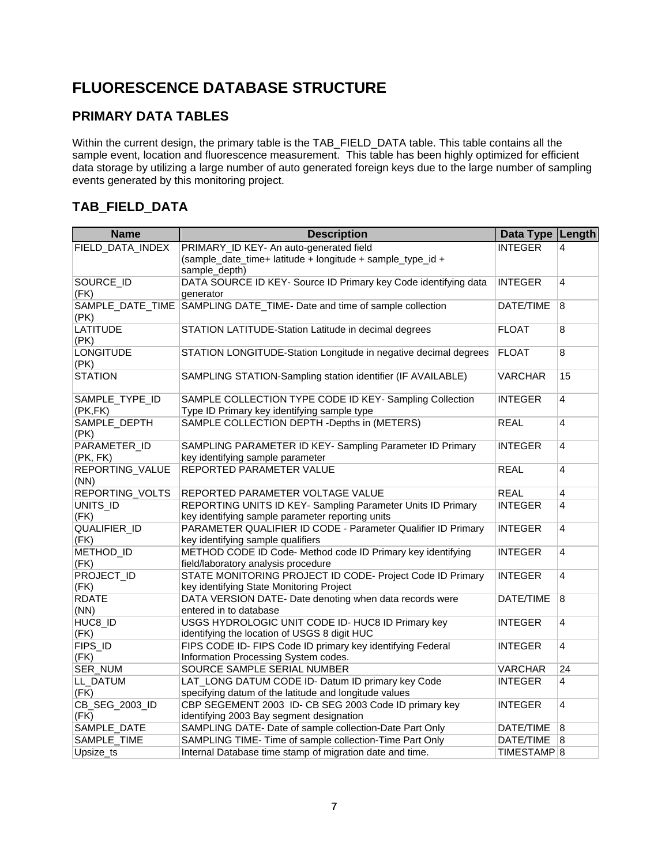## **FLUORESCENCE DATABASE STRUCTURE**

### **PRIMARY DATA TABLES**

Within the current design, the primary table is the TAB\_FIELD\_DATA table. This table contains all the sample event, location and fluorescence measurement. This table has been highly optimized for efficient data storage by utilizing a large number of auto generated foreign keys due to the large number of sampling events generated by this monitoring project.

### **TAB\_FIELD\_DATA**

| <b>Name</b>                | <b>Description</b>                                                                                     | Data Type Length       |                |
|----------------------------|--------------------------------------------------------------------------------------------------------|------------------------|----------------|
| FIELD_DATA_INDEX           | PRIMARY_ID KEY- An auto-generated field                                                                | <b>INTEGER</b>         | 4              |
|                            | (sample_date_time+ latitude + longitude + sample_type_id +<br>sample_depth)                            |                        |                |
| SOURCE_ID<br>(FK)          | DATA SOURCE ID KEY- Source ID Primary key Code identifying data<br>generator                           | <b>INTEGER</b>         | 4              |
| SAMPLE DATE TIME<br>(PK)   | SAMPLING DATE_TIME- Date and time of sample collection                                                 | DATE/TIME              | 8              |
| <b>LATITUDE</b><br>(PK)    | STATION LATITUDE-Station Latitude in decimal degrees                                                   | <b>FLOAT</b>           | 8              |
| <b>LONGITUDE</b><br>(PK)   | STATION LONGITUDE-Station Longitude in negative decimal degrees                                        | <b>FLOAT</b>           | 8              |
| <b>STATION</b>             | SAMPLING STATION-Sampling station identifier (IF AVAILABLE)                                            | <b>VARCHAR</b>         | 15             |
| SAMPLE_TYPE_ID<br>(PK, FK) | SAMPLE COLLECTION TYPE CODE ID KEY- Sampling Collection<br>Type ID Primary key identifying sample type | <b>INTEGER</b>         | 4              |
| SAMPLE_DEPTH<br>(PK)       | SAMPLE COLLECTION DEPTH -Depths in (METERS)                                                            | <b>REAL</b>            | $\overline{4}$ |
| PARAMETER_ID<br>(PK, FK)   | SAMPLING PARAMETER ID KEY- Sampling Parameter ID Primary<br>key identifying sample parameter           | <b>INTEGER</b>         | 4              |
| REPORTING VALUE<br>(NN)    | REPORTED PARAMETER VALUE                                                                               | <b>REAL</b>            | 4              |
| REPORTING_VOLTS            | REPORTED PARAMETER VOLTAGE VALUE                                                                       | <b>REAL</b>            | 4              |
| UNITS_ID                   | REPORTING UNITS ID KEY- Sampling Parameter Units ID Primary                                            | <b>INTEGER</b>         | 4              |
| (FK)                       | key identifying sample parameter reporting units                                                       |                        |                |
| QUALIFIER_ID               | PARAMETER QUALIFIER ID CODE - Parameter Qualifier ID Primary                                           | <b>INTEGER</b>         | 4              |
| (FK)                       | key identifying sample qualifiers                                                                      |                        |                |
| METHOD_ID<br>(FK)          | METHOD CODE ID Code- Method code ID Primary key identifying<br>field/laboratory analysis procedure     | <b>INTEGER</b>         | 4              |
| PROJECT_ID                 | STATE MONITORING PROJECT ID CODE- Project Code ID Primary                                              | <b>INTEGER</b>         | 4              |
| (FK)                       | key identifying State Monitoring Project                                                               |                        |                |
| <b>RDATE</b>               | DATA VERSION DATE- Date denoting when data records were                                                | DATE/TIME              | 8              |
| (NN)                       | entered in to database                                                                                 |                        |                |
| HUC8_ID                    | USGS HYDROLOGIC UNIT CODE ID- HUC8 ID Primary key                                                      | <b>INTEGER</b>         | 4              |
| (FK)                       | identifying the location of USGS 8 digit HUC                                                           |                        |                |
| FIPS_ID                    | FIPS CODE ID- FIPS Code ID primary key identifying Federal                                             | <b>INTEGER</b>         | 4              |
| (FK)                       | Information Processing System codes.                                                                   |                        |                |
| SER_NUM                    | SOURCE SAMPLE SERIAL NUMBER                                                                            | <b>VARCHAR</b>         | 24             |
| LL_DATUM                   | LAT_LONG DATUM CODE ID- Datum ID primary key Code                                                      | <b>INTEGER</b>         | 4              |
| (FK)                       | specifying datum of the latitude and longitude values                                                  |                        |                |
| CB_SEG_2003_ID             | CBP SEGEMENT 2003 ID- CB SEG 2003 Code ID primary key                                                  | <b>INTEGER</b>         | 4              |
| (FK)                       | identifying 2003 Bay segment designation                                                               |                        |                |
| SAMPLE_DATE                | SAMPLING DATE- Date of sample collection-Date Part Only                                                | DATE/TIME              | $\bf 8$        |
| SAMPLE_TIME                | SAMPLING TIME- Time of sample collection-Time Part Only                                                | DATE/TIME              | 8              |
| Upsize_ts                  | Internal Database time stamp of migration date and time.                                               | TIMESTAMP <sup>8</sup> |                |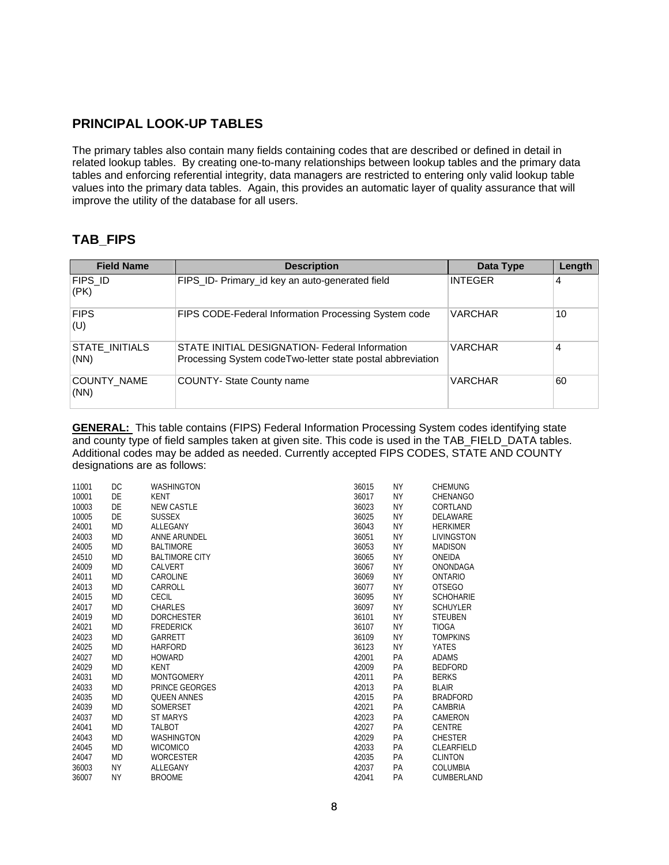#### **PRINCIPAL LOOK-UP TABLES**

The primary tables also contain many fields containing codes that are described or defined in detail in related lookup tables. By creating one-to-many relationships between lookup tables and the primary data tables and enforcing referential integrity, data managers are restricted to entering only valid lookup table values into the primary data tables. Again, this provides an automatic layer of quality assurance that will improve the utility of the database for all users.

#### **TAB\_FIPS**

| <b>Field Name</b>      | <b>Description</b>                                                                                           | Data Type      | Length |
|------------------------|--------------------------------------------------------------------------------------------------------------|----------------|--------|
| FIPS ID<br>(PK)        | FIPS_ID- Primary_id key an auto-generated field                                                              | <b>INTEGER</b> | 4      |
| <b>FIPS</b><br>(U)     | FIPS CODE-Federal Information Processing System code                                                         | <b>VARCHAR</b> | 10     |
| STATE INITIALS<br>(NN) | STATE INITIAL DESIGNATION- Federal Information<br>Processing System codeTwo-letter state postal abbreviation | <b>VARCHAR</b> | 4      |
| COUNTY NAME<br>(NN)    | <b>COUNTY- State County name</b>                                                                             | <b>VARCHAR</b> | 60     |

**GENERAL:** This table contains (FIPS) Federal Information Processing System codes identifying state and county type of field samples taken at given site. This code is used in the TAB\_FIELD\_DATA tables. Additional codes may be added as needed. Currently accepted FIPS CODES, STATE AND COUNTY designations are as follows:

| 11001 | DC        | <b>WASHINGTON</b>     | 36015 | NΥ        | <b>CHEMUNG</b>    |
|-------|-----------|-----------------------|-------|-----------|-------------------|
| 10001 | DE        | KENT                  | 36017 | <b>NY</b> | CHENANGO          |
| 10003 | DE        | <b>NEW CASTLE</b>     | 36023 | ΝY        | CORTLAND          |
| 10005 | DE        | <b>SUSSEX</b>         | 36025 | ΝY        | DELAWARE          |
| 24001 | <b>MD</b> | ALLEGANY              | 36043 | ΝY        | <b>HERKIMER</b>   |
| 24003 | MD        | ANNE ARUNDEL          | 36051 | ΝY        | <b>LIVINGSTON</b> |
| 24005 | MD        | <b>BALTIMORE</b>      | 36053 | ΝY        | <b>MADISON</b>    |
| 24510 | <b>MD</b> | <b>BALTIMORE CITY</b> | 36065 | ΝY        | ONEIDA            |
| 24009 | <b>MD</b> | CALVERT               | 36067 | ΝY        | ONONDAGA          |
| 24011 | MD        | CAROLINE              | 36069 | ΝY        | ONTARIO           |
| 24013 | MD        | CARROLL               | 36077 | ΝY        | <b>OTSEGO</b>     |
| 24015 | <b>MD</b> | <b>CECIL</b>          | 36095 | ΝY        | <b>SCHOHARIE</b>  |
| 24017 | MD        | <b>CHARLES</b>        | 36097 | ΝY        | <b>SCHUYLER</b>   |
| 24019 | MD        | <b>DORCHESTER</b>     | 36101 | ΝY        | <b>STEUBEN</b>    |
| 24021 | MD        | <b>FREDERICK</b>      | 36107 | ΝY        | <b>TIOGA</b>      |
| 24023 | <b>MD</b> | GARRETT               | 36109 | ΝY        | <b>TOMPKINS</b>   |
| 24025 | MD        | <b>HARFORD</b>        | 36123 | ΝY        | <b>YATES</b>      |
| 24027 | <b>MD</b> | <b>HOWARD</b>         | 42001 | PA        | <b>ADAMS</b>      |
| 24029 | MD        | KENT                  | 42009 | PA        | <b>BEDFORD</b>    |
| 24031 | <b>MD</b> | <b>MONTGOMERY</b>     | 42011 | PA        | <b>BERKS</b>      |
| 24033 | MD        | PRINCE GEORGES        | 42013 | PA        | <b>BLAIR</b>      |
| 24035 | MD        | <b>QUEEN ANNES</b>    | 42015 | PA        | <b>BRADFORD</b>   |
| 24039 | MD        | <b>SOMERSET</b>       | 42021 | <b>PA</b> | CAMBRIA           |
| 24037 | <b>MD</b> | <b>ST MARYS</b>       | 42023 | PA        | CAMERON           |
| 24041 | MD        | TALBOT                | 42027 | PA        | <b>CENTRE</b>     |
| 24043 | <b>MD</b> | <b>WASHINGTON</b>     | 42029 | PA        | <b>CHESTER</b>    |
| 24045 | MD        | <b>WICOMICO</b>       | 42033 | РA        | CLEARFIELD        |
| 24047 | <b>MD</b> | <b>WORCESTER</b>      | 42035 | PA        | <b>CLINTON</b>    |
| 36003 | <b>NY</b> | ALLEGANY              | 42037 | <b>PA</b> | COLUMBIA          |
| 36007 | <b>NY</b> | <b>BROOME</b>         | 42041 | РA        | CUMBERLAND        |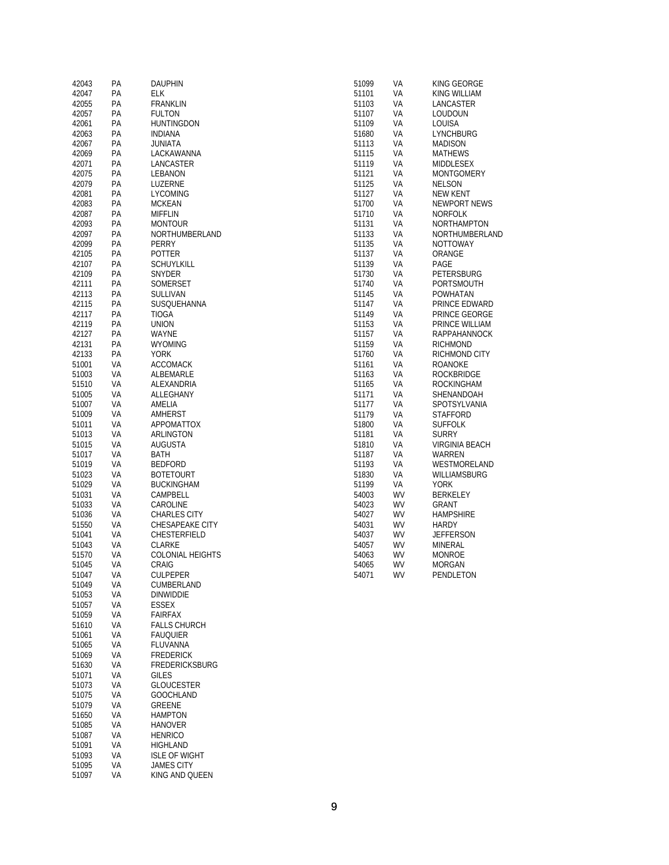| 42043          | PA       | <b>DAUPHIN</b>                      | VA<br>51099        | KING GEORGE           |
|----------------|----------|-------------------------------------|--------------------|-----------------------|
| 42047          | PА       | <b>ELK</b>                          | VA<br>51101        | KING WILLIAM          |
| 42055          | PA       | FRANKLIN                            | 51103<br>VA        | LANCASTER             |
|                |          |                                     |                    |                       |
| 42057          | PA       | <b>FULTON</b>                       | 51107<br>VA        | LOUDOUN               |
| 42061          | PA       | <b>HUNTINGDON</b>                   | 51109<br>VA        | LOUISA                |
| 42063          | PA       | <b>INDIANA</b>                      | 51680<br>VA        | <b>LYNCHBURG</b>      |
|                |          |                                     |                    |                       |
| 42067          | PA       | <b>JUNIATA</b>                      | 51113<br>VA        | <b>MADISON</b>        |
| 42069          | PA       | LACKAWANNA                          | VA<br>51115        | <b>MATHEWS</b>        |
|                |          |                                     |                    |                       |
| 42071          | PA       | LANCASTER                           | VA<br>51119        | MIDDLESEX             |
| 42075          | PA       | LEBANON                             | VA<br>51121        | <b>MONTGOMERY</b>     |
| 42079          | PА       | LUZERNE                             | VA<br>51125        | <b>NELSON</b>         |
|                |          |                                     |                    |                       |
| 42081          | PA       | <b>LYCOMING</b>                     | 51127<br>VA        | <b>NEW KENT</b>       |
| 42083          | PA       | <b>MCKEAN</b>                       | 51700<br>VA        | NEWPORT NEWS          |
|                |          |                                     |                    |                       |
| 42087          | PA       | <b>MIFFLIN</b>                      | 51710<br>VA        | <b>NORFOLK</b>        |
| 42093          | PA       | <b>MONTOUR</b>                      | VA<br>51131        | <b>NORTHAMPTON</b>    |
| 42097          | PA       | NORTHUMBERLAND                      | 51133<br>VA        | NORTHUMBERLAND        |
|                |          |                                     |                    |                       |
| 42099          | PA       | PERRY                               | 51135<br>VA        | NOTTOWAY              |
| 42105          | PA       | POTTER                              | 51137<br>VA        | ORANGE                |
| 42107          | PA       | <b>SCHUYLKILL</b>                   | 51139<br>VA        | PAGE                  |
|                |          |                                     |                    |                       |
| 42109          | PA       | SNYDER                              | 51730<br>VA        | PETERSBURG            |
| 42111          | PA       | SOMERSET                            | 51740<br>VA        | PORTSMOUTH            |
| 42113          | PA       | SULLIVAN                            | VA<br>51145        | <b>POWHATAN</b>       |
|                |          |                                     |                    |                       |
| 42115          | PA       | SUSQUEHANNA                         | 51147<br>VA        | PRINCE EDWARD         |
| 42117          | PA       | <b>TIOGA</b>                        | VA<br>51149        | PRINCE GEORGE         |
|                |          |                                     |                    |                       |
| 42119          | PA       | <b>UNION</b>                        | VA<br>51153        | PRINCE WILLIAM        |
| 42127          | PА       | WAYNE                               | VA<br>51157        | RAPPAHANNOCK          |
| 42131          | PA       | <b>WYOMING</b>                      | 51159<br>VA        | <b>RICHMOND</b>       |
|                |          |                                     |                    |                       |
| 42133          | PA       | <b>YORK</b>                         | 51760<br>VA        | RICHMOND CITY         |
| 51001          | VA       | <b>ACCOMACK</b>                     | 51161<br>VA        | ROANOKE               |
|                |          |                                     |                    |                       |
| 51003          | VA       | ALBEMARLE                           | 51163<br>VA        | <b>ROCKBRIDGE</b>     |
| 51510          | VA       | <b>ALEXANDRIA</b>                   | VA<br>51165        | <b>ROCKINGHAM</b>     |
| 51005          | VA       | ALLEGHANY                           | 51171<br>VA        | SHENANDOAH            |
|                |          |                                     |                    |                       |
| 51007          | VA       | AMELIA                              | VA<br>51177        | SPOTSYLVANIA          |
| 51009          | VA       | AMHERST                             | 51179<br>VA        | STAFFORD              |
| 51011          | VA       | APPOMATTOX                          | 51800<br>VA        | <b>SUFFOLK</b>        |
|                |          |                                     |                    |                       |
| 51013          | VA       | ARLINGTON                           | VA<br>51181        | <b>SURRY</b>          |
| 51015          | VA       | <b>AUGUSTA</b>                      | 51810<br>VA        | <b>VIRGINIA BEACH</b> |
| 51017          | VA       | BATH                                | 51187<br>VA        | WARREN                |
|                |          |                                     |                    |                       |
| 51019          | VA       | <b>BEDFORD</b>                      | 51193<br>VA        | WESTMORELAND          |
| 51023          | VA       | <b>BOTETOURT</b>                    | 51830<br>VA        | WILLIAMSBURG          |
|                |          |                                     |                    |                       |
| 51029          | VA       | <b>BUCKINGHAM</b>                   | 51199<br>VA        | <b>YORK</b>           |
| 51031          | VA       | CAMPBELL                            | WV<br>54003        | BERKELEY              |
| 51033          | VA       | CAROLINE                            | WV<br>54023        | <b>GRANT</b>          |
|                |          |                                     |                    |                       |
| 51036          | VA       | <b>CHARLES CITY</b>                 | 54027<br>WV        | <b>HAMPSHIRE</b>      |
| 51550          | VA       | CHESAPEAKE CITY                     | 54031<br>WV        | <b>HARDY</b>          |
| 51041          | VA       | CHESTERFIELD                        | 54037<br>WV        | <b>JEFFERSON</b>      |
|                |          |                                     |                    |                       |
| 51043          | VA       | <b>CLARKE</b>                       | 54057<br>WV        | MINERAL               |
| 51570          | VA       | <b>COLONIAL HEIGHTS</b>             | 54063<br><b>WV</b> | <b>MONROE</b>         |
|                |          | CRAIG                               | <b>WV</b><br>54065 |                       |
| 51045          | VA       |                                     |                    | <b>MORGAN</b>         |
| 51047          | VA       | <b>CULPEPER</b>                     | WV<br>54071        | PENDLETON             |
| 51049          | VA       | CUMBERLAND                          |                    |                       |
| 51053          | VA       | <b>DINWIDDIE</b>                    |                    |                       |
|                |          |                                     |                    |                       |
| 51057          | VA       | ESSEX                               |                    |                       |
| 51059          | VA       | FAIRFAX                             |                    |                       |
|                |          |                                     |                    |                       |
| 51610          | VA       | <b>FALLS CHURCH</b>                 |                    |                       |
| 51061          | VA       | <b>FAUQUIER</b>                     |                    |                       |
| 51065          | VA       | FLUVANNA                            |                    |                       |
|                |          |                                     |                    |                       |
| 51069          | VA       | <b>FREDERICK</b>                    |                    |                       |
| 51630          | VA       | <b>FREDERICKSBURG</b>               |                    |                       |
| 51071          | VA       | <b>GILES</b>                        |                    |                       |
|                |          |                                     |                    |                       |
| 51073          | VA       | <b>GLOUCESTER</b>                   |                    |                       |
| 51075          | VA       | <b>GOOCHLAND</b>                    |                    |                       |
|                |          |                                     |                    |                       |
|                |          |                                     |                    |                       |
| 51079          | VA       | GREENE                              |                    |                       |
| 51650          | VA       | <b>HAMPTON</b>                      |                    |                       |
|                |          |                                     |                    |                       |
| 51085          | VA       | <b>HANOVER</b>                      |                    |                       |
| 51087          | VA       | <b>HENRICO</b>                      |                    |                       |
| 51091          | VA       | HIGHLAND                            |                    |                       |
|                |          |                                     |                    |                       |
| 51093          | VA       | <b>ISLE OF WIGHT</b>                |                    |                       |
| 51095<br>51097 | VA<br>VA | <b>JAMES CITY</b><br>KING AND QUEEN |                    |                       |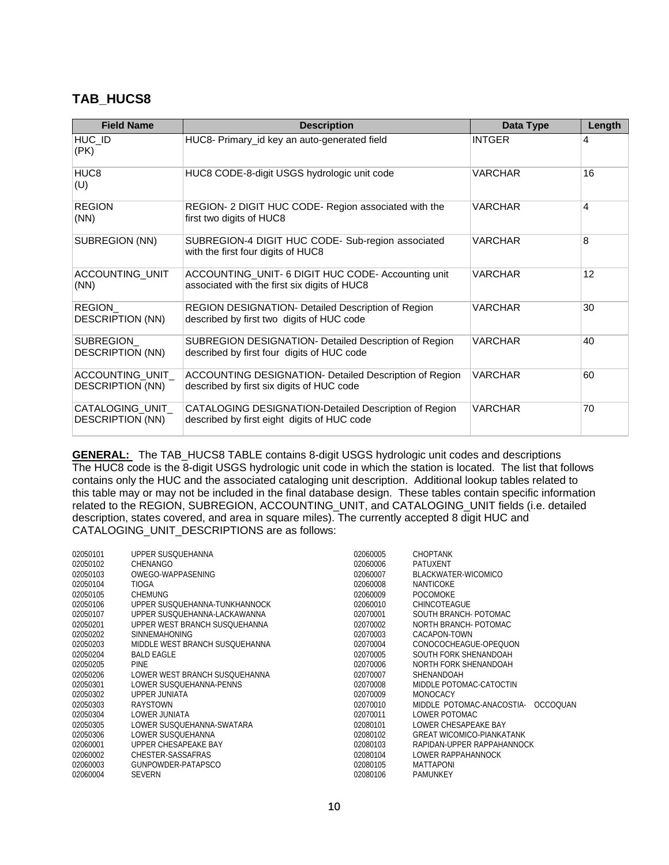#### **TAB\_HUCS8**

| <b>Field Name</b>                           | <b>Description</b>                                                                                   | Data Type      | Length |
|---------------------------------------------|------------------------------------------------------------------------------------------------------|----------------|--------|
| HUC_ID<br>(PK)                              | HUC8- Primary_id key an auto-generated field                                                         | <b>INTGER</b>  | 4      |
| HUC <sub>8</sub><br>(U)                     | HUC8 CODE-8-digit USGS hydrologic unit code                                                          | VARCHAR        | 16     |
| <b>REGION</b><br>(NN)                       | REGION- 2 DIGIT HUC CODE- Region associated with the<br>first two digits of HUC8                     | VARCHAR        | 4      |
| SUBREGION (NN)                              | SUBREGION-4 DIGIT HUC CODE- Sub-region associated<br>with the first four digits of HUC8              | VARCHAR        | 8      |
| ACCOUNTING_UNIT<br>(NN)                     | ACCOUNTING_UNIT- 6 DIGIT HUC CODE- Accounting unit<br>associated with the first six digits of HUC8   | <b>VARCHAR</b> | 12     |
| REGION<br><b>DESCRIPTION (NN)</b>           | REGION DESIGNATION- Detailed Description of Region<br>described by first two digits of HUC code      | VARCHAR        | 30     |
| SUBREGION<br><b>DESCRIPTION (NN)</b>        | SUBREGION DESIGNATION- Detailed Description of Region<br>described by first four digits of HUC code  | VARCHAR        | 40     |
| ACCOUNTING_UNIT_<br><b>DESCRIPTION (NN)</b> | ACCOUNTING DESIGNATION- Detailed Description of Region<br>described by first six digits of HUC code  | VARCHAR        | 60     |
| CATALOGING_UNIT_<br>DESCRIPTION (NN)        | CATALOGING DESIGNATION-Detailed Description of Region<br>described by first eight digits of HUC code | VARCHAR        | 70     |

**GENERAL:** The TAB\_HUCS8 TABLE contains 8-digit USGS hydrologic unit codes and descriptions The HUC8 code is the 8-digit USGS hydrologic unit code in which the station is located. The list that follows contains only the HUC and the associated cataloging unit description. Additional lookup tables related to this table may or may not be included in the final database design. These tables contain specific information related to the REGION, SUBREGION, ACCOUNTING\_UNIT, and CATALOGING\_UNIT fields (i.e. detailed description, states covered, and area in square miles). The currently accepted 8 digit HUC and CATALOGING\_UNIT\_DESCRIPTIONS are as follows:

| 02050101 | UPPER SUSOUEHANNA              | 02060005 | <b>CHOPTANK</b>                    |
|----------|--------------------------------|----------|------------------------------------|
| 02050102 | CHENANGO                       | 02060006 | PATUXENT                           |
| 02050103 | OWEGO-WAPPASENING              | 02060007 | BLACKWATER-WICOMICO                |
| 02050104 | <b>TIOGA</b>                   | 02060008 | NANTICOKE                          |
| 02050105 | <b>CHEMUNG</b>                 | 02060009 | <b>POCOMOKE</b>                    |
| 02050106 | UPPER SUSOUEHANNA-TUNKHANNOCK  | 02060010 | <b>CHINCOTEAGUE</b>                |
| 02050107 | UPPER SUSQUEHANNA-LACKAWANNA   | 02070001 | SOUTH BRANCH- POTOMAC              |
| 02050201 | UPPER WEST BRANCH SUSOUEHANNA  | 02070002 | NORTH BRANCH- POTOMAC              |
| 02050202 | <b>SINNEMAHONING</b>           | 02070003 | CACAPON-TOWN                       |
| 02050203 | MIDDLE WEST BRANCH SUSQUEHANNA | 02070004 | CONOCOCHEAGUE-OPEQUON              |
| 02050204 | BALD FAGLE                     | 02070005 | SOUTH FORK SHENANDOAH              |
| 02050205 | <b>PINE</b>                    | 02070006 | NORTH FORK SHENANDOAH              |
| 02050206 | LOWER WEST BRANCH SUSOUFHANNA  | 02070007 | SHENANDOAH                         |
| 02050301 | LOWER SUSQUEHANNA-PENNS        | 02070008 | MIDDLE POTOMAC-CATOCTIN            |
| 02050302 | UPPER JUNIATA                  | 02070009 | <b>MONOCACY</b>                    |
| 02050303 | RAYSTOWN                       | 02070010 | MIDDLE POTOMAC-ANACOSTIA- OCCOQUAN |
| 02050304 | LOWER JUNIATA                  | 02070011 | LOWER POTOMAC                      |
| 02050305 | LOWER SUSOUEHANNA-SWATARA      | 02080101 | LOWER CHESAPEAKE BAY               |
| 02050306 | LOWER SUSQUEHANNA              | 02080102 | <b>GREAT WICOMICO-PIANKATANK</b>   |
| 02060001 | UPPER CHESAPEAKE BAY           | 02080103 | RAPIDAN-UPPER RAPPAHANNOCK         |
| 02060002 | CHESTER-SASSAFRAS              | 02080104 | LOWER RAPPAHANNOCK                 |
| 02060003 | GUNPOWDER-PATAPSCO             | 02080105 | <b>MATTAPONI</b>                   |
| 02060004 | <b>SEVERN</b>                  | 02080106 | <b>PAMUNKEY</b>                    |
|          |                                |          |                                    |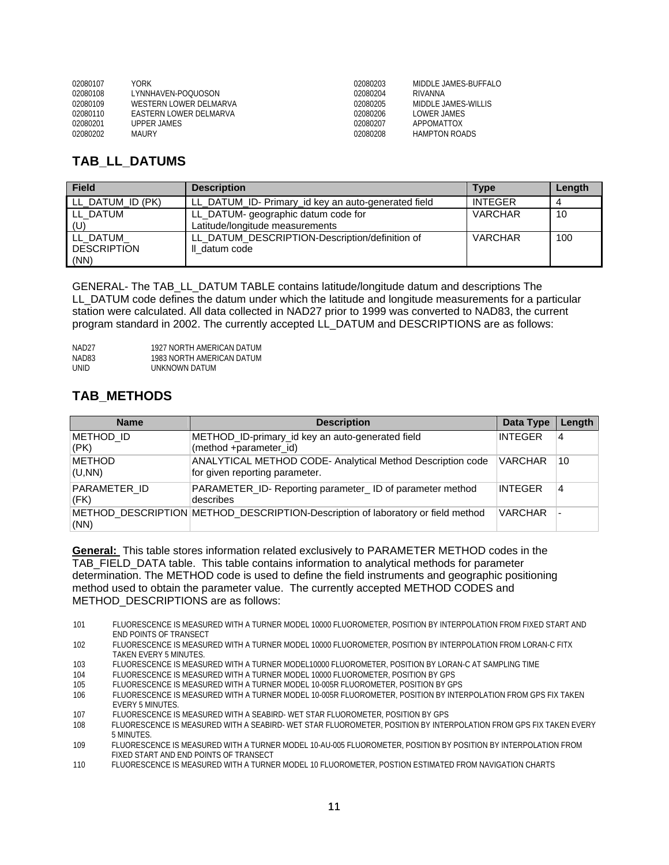| 02080107 | YORK                   | 02080203 | MIDDLE JAMES-BUFFALO |
|----------|------------------------|----------|----------------------|
| 02080108 | I YNNHAVEN-POOLIOSON   | 02080204 | RIVANNA              |
| 02080109 | WESTERN LOWER DELMARVA | 02080205 | MIDDLE JAMES-WILLIS  |
| 02080110 | FASTERN LOWER DELMARVA | 02080206 | LOWER JAMES          |
| 02080201 | UPPER JAMES            | 02080207 | ΑΡΡΟΜΑΤΤΟΧ           |
| 02080202 | <b>MAURY</b>           | 02080208 | <b>HAMPTON ROADS</b> |

#### **TAB\_LL\_DATUMS**

| <b>Field</b>         | <b>Description</b>                                  | Type           | Length |
|----------------------|-----------------------------------------------------|----------------|--------|
| LL_DATUM_ID (PK)     | LL_DATUM_ID- Primary_id key an auto-generated field | <b>INTEGER</b> |        |
| I LL DATUM           | LL_DATUM- geographic datum code for                 | <b>VARCHAR</b> | 10     |
| (U)                  | Latitude/longitude measurements                     |                |        |
| LL DATUM             | LL DATUM DESCRIPTION-Description/definition of      | <b>VARCHAR</b> | 100    |
| <b>I</b> DESCRIPTION | Il datum code                                       |                |        |
| (NN)                 |                                                     |                |        |

GENERAL- The TAB\_LL\_DATUM TABLE contains latitude/longitude datum and descriptions The LL\_DATUM code defines the datum under which the latitude and longitude measurements for a particular station were calculated. All data collected in NAD27 prior to 1999 was converted to NAD83, the current program standard in 2002. The currently accepted LL\_DATUM and DESCRIPTIONS are as follows:

| NAD27 | 1927 NORTH AMERICAN DATUM |
|-------|---------------------------|
| NAD83 | 1983 NORTH AMERICAN DATUM |
| UNID  | UNKNOWN DATUM             |

#### **TAB\_METHODS**

| <b>Name</b>             | <b>Description</b>                                                                                  | Data Type      | Length |
|-------------------------|-----------------------------------------------------------------------------------------------------|----------------|--------|
| METHOD ID<br>(PK)       | METHOD_ID-primary_id key an auto-generated field<br>(method +parameter_id)                          | <b>INTEGER</b> | 4      |
| <b>METHOD</b><br>(U,NN) | <b>ANALYTICAL METHOD CODE- Analytical Method Description code</b><br>for given reporting parameter. | <b>VARCHAR</b> | 10     |
| PARAMETER ID<br>(FK)    | <b>PARAMETER ID-Reporting parameter ID of parameter method</b><br>describes                         | INTEGER        | 4      |
| (NN)                    | METHOD DESCRIPTION METHOD DESCRIPTION-Description of laboratory or field method                     | <b>VARCHAR</b> |        |

**General:** This table stores information related exclusively to PARAMETER METHOD codes in the TAB\_FIELD\_DATA table. This table contains information to analytical methods for parameter determination. The METHOD code is used to define the field instruments and geographic positioning method used to obtain the parameter value. The currently accepted METHOD CODES and METHOD\_DESCRIPTIONS are as follows:

- 101 FLUORESCENCE IS MEASURED WITH A TURNER MODEL 10000 FLUOROMETER, POSITION BY INTERPOLATION FROM FIXED START AND END POINTS OF TRANSECT
- 102 FLUORESCENCE IS MEASURED WITH A TURNER MODEL 10000 FLUOROMETER, POSITION BY INTERPOLATION FROM LORAN-C FITX TAKEN EVERY 5 MINUTES.
- 103 FLUORESCENCE IS MEASURED WITH A TURNER MODEL10000 FLUOROMETER, POSITION BY LORAN-C AT SAMPLING TIME<br>104 FLUORESCENCE IS MEASURED WITH A TURNER MODEL 10000 FLUOROMETER, POSITION BY GPS
- FLUORESCENCE IS MEASURED WITH A TURNER MODEL 10000 FLUOROMETER, POSITION BY GPS
- 105 FLUORESCENCE IS MEASURED WITH A TURNER MODEL 10-005R FLUOROMETER, POSITION BY GPS
- 106 FLUORESCENCE IS MEASURED WITH A TURNER MODEL 10-005R FLUOROMETER, POSITION BY INTERPOLATION FROM GPS FIX TAKEN EVERY 5 MINUTES.<br>ELLIORESCENCE IS
- 107 FLUORESCENCE IS MEASURED WITH A SEABIRD- WET STAR FLUOROMETER, POSITION BY GPS
- 108 FLUORESCENCE IS MEASURED WITH A SEABIRD- WET STAR FLUOROMETER, POSITION BY INTERPOLATION FROM GPS FIX TAKEN EVERY 5 MINUTES.
- 109 FLUORESCENCE IS MEASURED WITH A TURNER MODEL 10-AU-005 FLUOROMETER, POSITION BY POSITION BY INTERPOLATION FROM FIXED START AND END POINTS OF TRANSECT
- 110 FLUORESCENCE IS MEASURED WITH A TURNER MODEL 10 FLUOROMETER, POSTION ESTIMATED FROM NAVIGATION CHARTS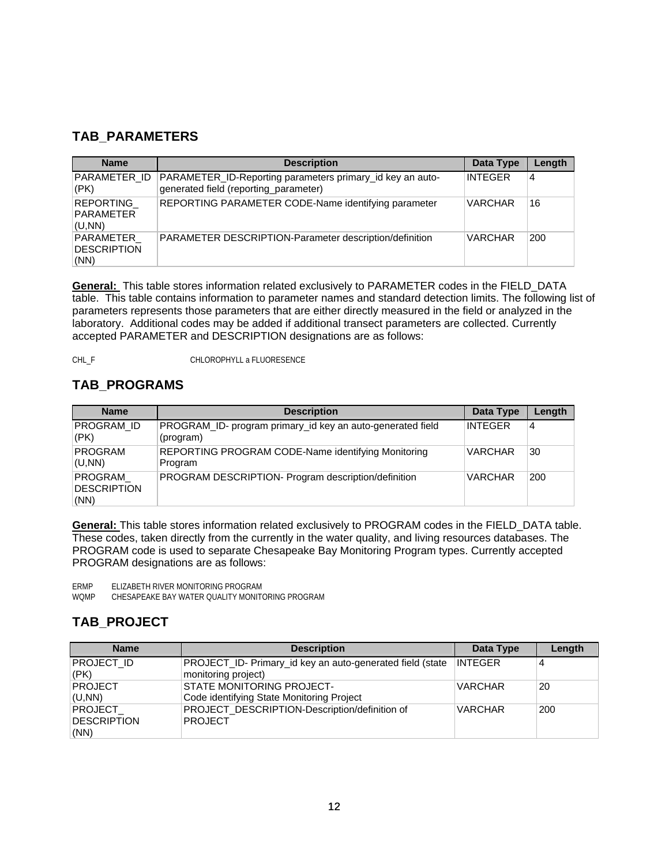#### **TAB\_PARAMETERS**

| <b>Name</b>                             | <b>Description</b>                                                                                 | Data Type      | Length |
|-----------------------------------------|----------------------------------------------------------------------------------------------------|----------------|--------|
| PARAMETER ID<br>(PK)                    | PARAMETER_ID-Reporting parameters primary_id key an auto-<br>generated field (reporting_parameter) | <b>INTEGER</b> | 4      |
| <b>REPORTING</b><br>PARAMETER<br>(U,NN) | REPORTING PARAMETER CODE-Name identifying parameter                                                | <b>VARCHAR</b> | 16     |
| PARAMETER<br>DESCRIPTION<br>(NN)        | PARAMETER DESCRIPTION-Parameter description/definition                                             | <b>VARCHAR</b> | 200    |

**General:** This table stores information related exclusively to PARAMETER codes in the FIELD\_DATA table. This table contains information to parameter names and standard detection limits. The following list of parameters represents those parameters that are either directly measured in the field or analyzed in the laboratory. Additional codes may be added if additional transect parameters are collected. Currently accepted PARAMETER and DESCRIPTION designations are as follows:

CHL\_F CHLOROPHYLL a FLUORESENCE

#### **TAB\_PROGRAMS**

| <b>Name</b>                           | <b>Description</b>                                                      | Data Type      | Length |
|---------------------------------------|-------------------------------------------------------------------------|----------------|--------|
| PROGRAM ID<br>(PK)                    | PROGRAM_ID- program primary_id key an auto-generated field<br>(program) | <b>INTEGER</b> | 4      |
| PROGRAM<br>(U,NN)                     | REPORTING PROGRAM CODE-Name identifying Monitoring<br>Program           | <b>VARCHAR</b> | 30     |
| PROGRAM<br><b>DESCRIPTION</b><br>(NN) | PROGRAM DESCRIPTION- Program description/definition                     | <b>VARCHAR</b> | 200    |

**General:** This table stores information related exclusively to PROGRAM codes in the FIELD\_DATA table. These codes, taken directly from the currently in the water quality, and living resources databases. The PROGRAM code is used to separate Chesapeake Bay Monitoring Program types. Currently accepted PROGRAM designations are as follows:

ERMP ELIZABETH RIVER MONITORING PROGRAM

WQMP CHESAPEAKE BAY WATER QUALITY MONITORING PROGRAM

#### **TAB\_PROJECT**

| <b>Name</b>    | <b>Description</b>                                        | Data Type      | Length |
|----------------|-----------------------------------------------------------|----------------|--------|
| PROJECT ID     | PROJECT_ID- Primary_id key an auto-generated field (state | <b>INTEGER</b> | 4      |
| (PK)           | monitoring project)                                       |                |        |
| PROJECT        | <b>STATE MONITORING PROJECT-</b>                          | <b>VARCHAR</b> | 20     |
| (U,NN)         | Code identifying State Monitoring Project                 |                |        |
| <b>PROJECT</b> | PROJECT_DESCRIPTION-Description/definition of             | <b>VARCHAR</b> | 200    |
| DESCRIPTION    | <b>PROJECT</b>                                            |                |        |
| (NN)           |                                                           |                |        |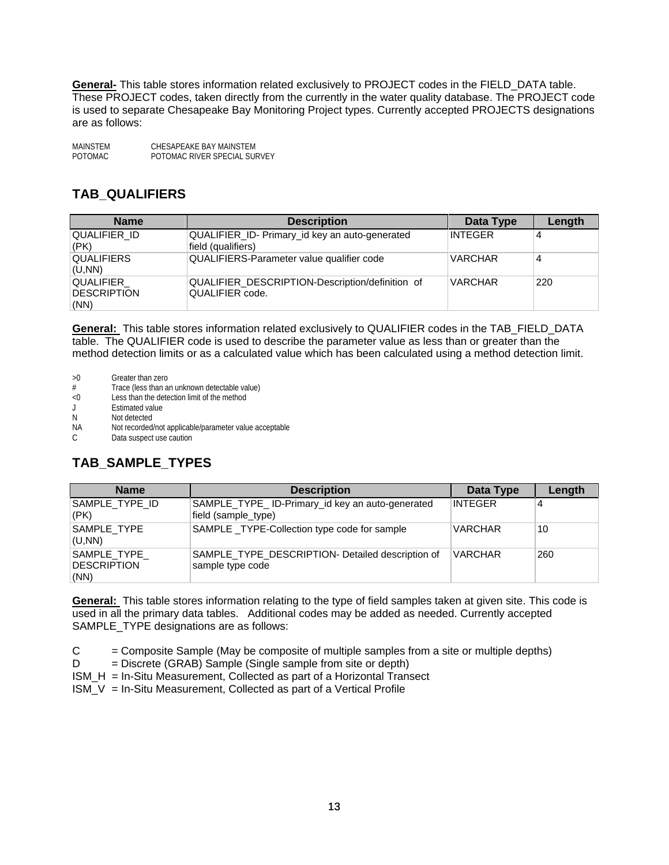**General-** This table stores information related exclusively to PROJECT codes in the FIELD\_DATA table. These PROJECT codes, taken directly from the currently in the water quality database. The PROJECT code is used to separate Chesapeake Bay Monitoring Project types. Currently accepted PROJECTS designations are as follows:

MAINSTEM CHESAPEAKE BAY MAINSTEM<br>
POTOMAC POTOMAC RIVER SPECIAL SU POTOMAC RIVER SPECIAL SURVEY

#### **TAB\_QUALIFIERS**

| <b>Name</b>                      | <b>Description</b>                                                   | Data Type      | Length |
|----------------------------------|----------------------------------------------------------------------|----------------|--------|
| QUALIFIER ID<br>(PK)             | QUALIFIER_ID- Primary_id key an auto-generated<br>field (qualifiers) | <b>INTEGER</b> |        |
| <b>QUALIFIERS</b><br>(U,NN)      | QUALIFIERS-Parameter value qualifier code                            | <b>VARCHAR</b> | 4      |
| QUALIFIER<br>DESCRIPTION<br>(NN) | QUALIFIER_DESCRIPTION-Description/definition of<br>QUALIFIER code.   | <b>VARCHAR</b> | 220    |

**General:** This table stores information related exclusively to QUALIFIER codes in the TAB\_FIELD\_DATA table. The QUALIFIER code is used to describe the parameter value as less than or greater than the method detection limits or as a calculated value which has been calculated using a method detection limit.

- >0 Greater than zero
- # Trace (less than an unknown detectable value)
- <0 Less than the detection limit of the method
- Estimated value
- N Not detected
- NA Not recorded/not applicable/parameter value acceptable
- C Data suspect use caution

### **TAB\_SAMPLE\_TYPES**

| <b>Name</b>                                | <b>Description</b>                                                     | Data Type      | Length |
|--------------------------------------------|------------------------------------------------------------------------|----------------|--------|
| SAMPLE_TYPE_ID<br>$ $ (PK)                 | SAMPLE_TYPE_ID-Primary_id key an auto-generated<br>field (sample_type) | INTEGER        |        |
| SAMPLE TYPE<br>(U,NN)                      | SAMPLE _TYPE-Collection type code for sample                           | <b>VARCHAR</b> | 10     |
| SAMPLE_TYPE_<br><b>DESCRIPTION</b><br>(NN) | SAMPLE TYPE DESCRIPTION- Detailed description of<br>sample type code   | <b>VARCHAR</b> | 260    |

**General:** This table stores information relating to the type of field samples taken at given site. This code is used in all the primary data tables. Additional codes may be added as needed. Currently accepted SAMPLE\_TYPE designations are as follows:

 $C =$  = Composite Sample (May be composite of multiple samples from a site or multiple depths)

 $D =$  Discrete (GRAB) Sample (Single sample from site or depth)

ISM\_H = In-Situ Measurement, Collected as part of a Horizontal Transect

 $ISM_V = In-Situ Measurement, Collected as part of a Vertical Profile$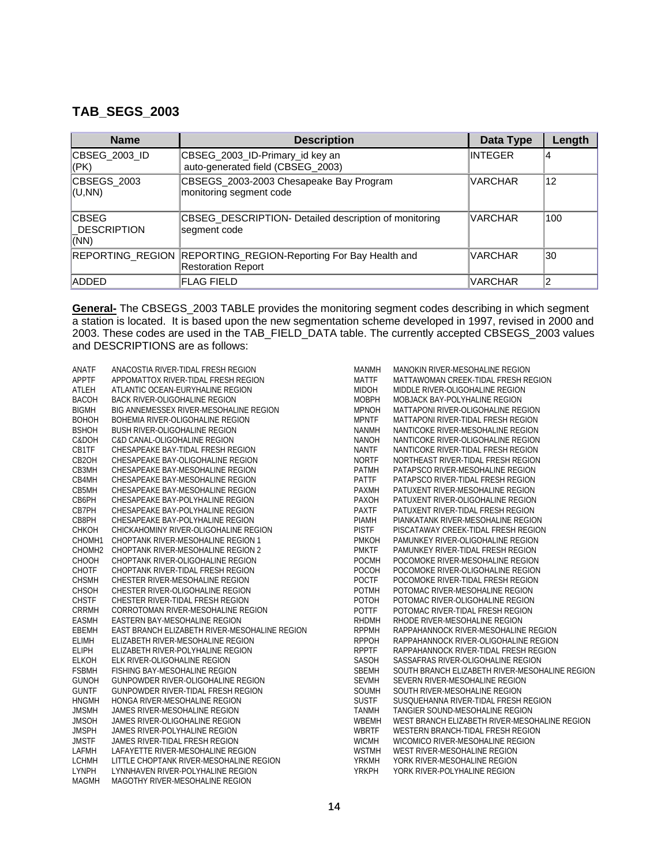#### **TAB\_SEGS\_2003**

| <b>Name</b>                                | <b>Description</b>                                                         | Data Type      | Length |
|--------------------------------------------|----------------------------------------------------------------------------|----------------|--------|
| CBSEG 2003 ID<br>(PK)                      | CBSEG_2003_ID-Primary_id key an<br>auto-generated field (CBSEG_2003)       | INTEGER        | 4      |
| CBSEGS 2003<br>(U,NN)                      | CBSEGS_2003-2003 Chesapeake Bay Program<br>monitoring segment code         | <b>VARCHAR</b> | 12     |
| <b>CBSEG</b><br><b>DESCRIPTION</b><br>(NN) | CBSEG_DESCRIPTION- Detailed description of monitoring<br>segment code      | <b>VARCHAR</b> | 100    |
| <b>REPORTING REGION</b>                    | REPORTING_REGION-Reporting For Bay Health and<br><b>Restoration Report</b> | <b>VARCHAR</b> | 30     |
| <b>ADDED</b>                               | <b>FLAG FIELD</b>                                                          | <b>VARCHAR</b> | 2      |

**General-** The CBSEGS\_2003 TABLE provides the monitoring segment codes describing in which segment a station is located. It is based upon the new segmentation scheme developed in 1997, revised in 2000 and 2003. These codes are used in the TAB\_FIELD\_DATA table. The currently accepted CBSEGS\_2003 values and DESCRIPTIONS are as follows:

| ANATF<br>ANACOSTIA RIVER-TIDAL FRESH REGION<br><b>MANMH</b><br>MANOKIN RIVER-MESOHALINE REGION<br><b>APPTF</b><br>APPOMATTOX RIVER-TIDAL FRESH REGION<br><b>MATTF</b><br>MATTAWOMAN CREEK-TIDAL FRESH REGION<br><b>MIDOH</b><br>ATLEH<br>ATLANTIC OCEAN-EURYHALINE REGION<br>MIDDLE RIVER-OLIGOHALINE REGION<br><b>MOBPH</b><br><b>BACOH</b><br><b>BACK RIVER-OLIGOHALINE REGION</b><br>MOBJACK BAY-POLYHALINE REGION<br><b>BIGMH</b><br>BIG ANNEMESSEX RIVER-MESOHALINE REGION<br><b>MPNOH</b><br>MATTAPONI RIVER-OLIGOHALINE REGION<br><b>MPNTF</b><br><b>BOHOH</b><br>BOHEMIA RIVER-OLIGOHALINE REGION<br>MATTAPONI RIVER-TIDAL FRESH REGION<br><b>BSHOH</b><br><b>NANMH</b><br>BUSH RIVER-OLIGOHALINE REGION<br>NANTICOKE RIVER-MESOHALINE REGION<br>C&DOH<br><b>NANOH</b><br>C&D CANAL-OLIGOHALINE REGION<br>NANTICOKE RIVER-OLIGOHALINE REGION<br>CB1TF<br><b>NANTF</b><br>CHESAPEAKE BAY-TIDAL FRESH REGION<br>NANTICOKE RIVER-TIDAL FRESH REGION<br>CB <sub>2</sub> OH<br><b>NORTF</b><br>NORTHEAST RIVER-TIDAL FRESH REGION<br>CHESAPEAKE BAY-OLIGOHALINE REGION<br>CB3MH<br>PATMH<br>CHESAPEAKE BAY-MESOHALINE REGION<br>PATAPSCO RIVER-MESOHALINE REGION<br>PATTF<br>CB4MH<br>CHESAPEAKE BAY-MESOHALINE REGION<br>PATAPSCO RIVER-TIDAL FRESH REGION<br>CB5MH<br>CHESAPEAKE BAY-MESOHALINE REGION<br>PAXMH<br>PATUXENT RIVER-MESOHALINE REGION<br>CB6PH<br>PAXOH<br>CHESAPEAKE BAY-POLYHALINE REGION<br>PATUXENT RIVER-OLIGOHALINE REGION<br>CB7PH<br><b>PAXTF</b><br>CHESAPEAKE BAY-POLYHALINE REGION<br>PATUXENT RIVER-TIDAL FRESH REGION<br>CB8PH<br><b>PIAMH</b><br>CHESAPEAKE BAY-POLYHALINE REGION<br>PIANKATANK RIVER-MESOHALINE REGION<br><b>PISTF</b><br>CHKOH<br>CHICKAHOMINY RIVER-OLIGOHALINE REGION<br>PISCATAWAY CREEK-TIDAL FRESH REGION<br>CHOMH <sub>1</sub><br>CHOPTANK RIVER-MESOHALINE REGION 1<br><b>PMKOH</b><br>PAMUNKEY RIVER-OLIGOHALINE REGION<br>CHOMH <sub>2</sub><br><b>PMKTF</b><br>CHOPTANK RIVER-MESOHALINE REGION 2<br>PAMUNKEY RIVER-TIDAL FRESH REGION<br><b>POCMH</b><br>CHOOH<br>CHOPTANK RIVER-OLIGOHALINE REGION<br>POCOMOKE RIVER-MESOHALINE REGION<br><b>CHOTF</b><br><b>POCOH</b><br>CHOPTANK RIVER-TIDAL FRESH REGION<br>POCOMOKE RIVER-OLIGOHALINE REGION<br><b>POCTF</b><br><b>CHSMH</b><br>CHESTER RIVER-MESOHALINE REGION<br>POCOMOKE RIVER-TIDAL FRESH REGION<br>CHSOH<br><b>POTMH</b><br>CHESTER RIVER-OLIGOHALINE REGION<br>POTOMAC RIVER-MESOHALINE REGION<br><b>CHSTF</b><br>POTOH<br>CHESTER RIVER-TIDAL FRESH REGION<br>POTOMAC RIVER-OLIGOHALINE REGION<br>CRRMH<br>POTTF<br>CORROTOMAN RIVER-MESOHALINE REGION<br>POTOMAC RIVER-TIDAL FRESH REGION<br><b>EASMH</b><br><b>RHDMH</b><br>RHODE RIVER-MESOHALINE REGION<br>EASTERN BAY-MESOHALINE REGION<br>EBEMH<br><b>RPPMH</b><br>EAST BRANCH ELIZABETH RIVER-MESOHALINE REGION<br>RAPPAHANNOCK RIVER-MESOHALINE REGION<br><b>RPPOH</b><br><b>ELIMH</b><br>ELIZABETH RIVER-MESOHALINE REGION<br>RAPPAHANNOCK RIVER-OLIGOHALINE REGION<br><b>RPPTF</b><br><b>ELIPH</b><br>ELIZABETH RIVER-POLYHALINE REGION<br>RAPPAHANNOCK RIVER-TIDAL FRESH REGION<br><b>ELKOH</b><br>ELK RIVER-OLIGOHALINE REGION<br>SASOH<br>SASSAFRAS RIVER-OLIGOHALINE REGION<br><b>FSBMH</b><br>SBEMH<br>FISHING BAY-MESOHALINE REGION<br>SOUTH BRANCH ELIZABETH RIVER-MESOHALINE REGION<br><b>SEVMH</b><br><b>GUNOH</b><br>GUNPOWDER RIVER-OLIGOHALINE REGION<br>SEVERN RIVER-MESOHALINE REGION<br><b>GUNTF</b><br>SOUMH<br>GUNPOWDER RIVER-TIDAL FRESH REGION<br>SOUTH RIVER-MESOHALINE REGION<br><b>SUSTF</b><br><b>HNGMH</b><br>SUSQUEHANNA RIVER-TIDAL FRESH REGION<br>HONGA RIVER-MESOHALINE REGION<br><b>JMSMH</b><br>JAMES RIVER-MESOHALINE REGION<br><b>TANMH</b><br>TANGIER SOUND-MESOHALINE REGION<br><b>JMSOH</b><br>WBEMH<br>WEST BRANCH ELIZABETH RIVER-MESOHALINE REGION<br>JAMES RIVER-OLIGOHALINE REGION<br><b>JMSPH</b><br><b>WBRTF</b><br>JAMES RIVER-POLYHALINE REGION<br>WESTERN BRANCH-TIDAL FRESH REGION<br><b>JMSTF</b><br><b>WICMH</b><br>JAMES RIVER-TIDAL FRESH REGION<br>WICOMICO RIVER-MESOHALINE REGION<br><b>WSTMH</b><br>LAFMH<br>LAFAYETTE RIVER-MESOHALINE REGION<br>WEST RIVER-MESOHALINE REGION<br><b>LCHMH</b><br><b>YRKMH</b><br>LITTLE CHOPTANK RIVER-MESOHALINE REGION<br>YORK RIVER-MESOHALINE REGION<br><b>LYNPH</b><br>LYNNHAVEN RIVER-POLYHALINE REGION<br><b>YRKPH</b><br>YORK RIVER-POLYHALINE REGION |              |                                 |  |
|--------------------------------------------------------------------------------------------------------------------------------------------------------------------------------------------------------------------------------------------------------------------------------------------------------------------------------------------------------------------------------------------------------------------------------------------------------------------------------------------------------------------------------------------------------------------------------------------------------------------------------------------------------------------------------------------------------------------------------------------------------------------------------------------------------------------------------------------------------------------------------------------------------------------------------------------------------------------------------------------------------------------------------------------------------------------------------------------------------------------------------------------------------------------------------------------------------------------------------------------------------------------------------------------------------------------------------------------------------------------------------------------------------------------------------------------------------------------------------------------------------------------------------------------------------------------------------------------------------------------------------------------------------------------------------------------------------------------------------------------------------------------------------------------------------------------------------------------------------------------------------------------------------------------------------------------------------------------------------------------------------------------------------------------------------------------------------------------------------------------------------------------------------------------------------------------------------------------------------------------------------------------------------------------------------------------------------------------------------------------------------------------------------------------------------------------------------------------------------------------------------------------------------------------------------------------------------------------------------------------------------------------------------------------------------------------------------------------------------------------------------------------------------------------------------------------------------------------------------------------------------------------------------------------------------------------------------------------------------------------------------------------------------------------------------------------------------------------------------------------------------------------------------------------------------------------------------------------------------------------------------------------------------------------------------------------------------------------------------------------------------------------------------------------------------------------------------------------------------------------------------------------------------------------------------------------------------------------------------------------------------------------------------------------------------------------------------------------------------------------------------------------------------------------------------------------------------------------------------------------------------------------------------------------------------------------------------------------------------------------------------------------------------------------------------------------------------------------------------------------------------------------------------------------------------------------------------------------------------------------------------------------------------------------------------------------------------------------|--------------|---------------------------------|--|
|                                                                                                                                                                                                                                                                                                                                                                                                                                                                                                                                                                                                                                                                                                                                                                                                                                                                                                                                                                                                                                                                                                                                                                                                                                                                                                                                                                                                                                                                                                                                                                                                                                                                                                                                                                                                                                                                                                                                                                                                                                                                                                                                                                                                                                                                                                                                                                                                                                                                                                                                                                                                                                                                                                                                                                                                                                                                                                                                                                                                                                                                                                                                                                                                                                                                                                                                                                                                                                                                                                                                                                                                                                                                                                                                                                                                                                                                                                                                                                                                                                                                                                                                                                                                                                                                                                                                            |              |                                 |  |
|                                                                                                                                                                                                                                                                                                                                                                                                                                                                                                                                                                                                                                                                                                                                                                                                                                                                                                                                                                                                                                                                                                                                                                                                                                                                                                                                                                                                                                                                                                                                                                                                                                                                                                                                                                                                                                                                                                                                                                                                                                                                                                                                                                                                                                                                                                                                                                                                                                                                                                                                                                                                                                                                                                                                                                                                                                                                                                                                                                                                                                                                                                                                                                                                                                                                                                                                                                                                                                                                                                                                                                                                                                                                                                                                                                                                                                                                                                                                                                                                                                                                                                                                                                                                                                                                                                                                            |              |                                 |  |
|                                                                                                                                                                                                                                                                                                                                                                                                                                                                                                                                                                                                                                                                                                                                                                                                                                                                                                                                                                                                                                                                                                                                                                                                                                                                                                                                                                                                                                                                                                                                                                                                                                                                                                                                                                                                                                                                                                                                                                                                                                                                                                                                                                                                                                                                                                                                                                                                                                                                                                                                                                                                                                                                                                                                                                                                                                                                                                                                                                                                                                                                                                                                                                                                                                                                                                                                                                                                                                                                                                                                                                                                                                                                                                                                                                                                                                                                                                                                                                                                                                                                                                                                                                                                                                                                                                                                            |              |                                 |  |
|                                                                                                                                                                                                                                                                                                                                                                                                                                                                                                                                                                                                                                                                                                                                                                                                                                                                                                                                                                                                                                                                                                                                                                                                                                                                                                                                                                                                                                                                                                                                                                                                                                                                                                                                                                                                                                                                                                                                                                                                                                                                                                                                                                                                                                                                                                                                                                                                                                                                                                                                                                                                                                                                                                                                                                                                                                                                                                                                                                                                                                                                                                                                                                                                                                                                                                                                                                                                                                                                                                                                                                                                                                                                                                                                                                                                                                                                                                                                                                                                                                                                                                                                                                                                                                                                                                                                            |              |                                 |  |
|                                                                                                                                                                                                                                                                                                                                                                                                                                                                                                                                                                                                                                                                                                                                                                                                                                                                                                                                                                                                                                                                                                                                                                                                                                                                                                                                                                                                                                                                                                                                                                                                                                                                                                                                                                                                                                                                                                                                                                                                                                                                                                                                                                                                                                                                                                                                                                                                                                                                                                                                                                                                                                                                                                                                                                                                                                                                                                                                                                                                                                                                                                                                                                                                                                                                                                                                                                                                                                                                                                                                                                                                                                                                                                                                                                                                                                                                                                                                                                                                                                                                                                                                                                                                                                                                                                                                            |              |                                 |  |
|                                                                                                                                                                                                                                                                                                                                                                                                                                                                                                                                                                                                                                                                                                                                                                                                                                                                                                                                                                                                                                                                                                                                                                                                                                                                                                                                                                                                                                                                                                                                                                                                                                                                                                                                                                                                                                                                                                                                                                                                                                                                                                                                                                                                                                                                                                                                                                                                                                                                                                                                                                                                                                                                                                                                                                                                                                                                                                                                                                                                                                                                                                                                                                                                                                                                                                                                                                                                                                                                                                                                                                                                                                                                                                                                                                                                                                                                                                                                                                                                                                                                                                                                                                                                                                                                                                                                            |              |                                 |  |
|                                                                                                                                                                                                                                                                                                                                                                                                                                                                                                                                                                                                                                                                                                                                                                                                                                                                                                                                                                                                                                                                                                                                                                                                                                                                                                                                                                                                                                                                                                                                                                                                                                                                                                                                                                                                                                                                                                                                                                                                                                                                                                                                                                                                                                                                                                                                                                                                                                                                                                                                                                                                                                                                                                                                                                                                                                                                                                                                                                                                                                                                                                                                                                                                                                                                                                                                                                                                                                                                                                                                                                                                                                                                                                                                                                                                                                                                                                                                                                                                                                                                                                                                                                                                                                                                                                                                            |              |                                 |  |
|                                                                                                                                                                                                                                                                                                                                                                                                                                                                                                                                                                                                                                                                                                                                                                                                                                                                                                                                                                                                                                                                                                                                                                                                                                                                                                                                                                                                                                                                                                                                                                                                                                                                                                                                                                                                                                                                                                                                                                                                                                                                                                                                                                                                                                                                                                                                                                                                                                                                                                                                                                                                                                                                                                                                                                                                                                                                                                                                                                                                                                                                                                                                                                                                                                                                                                                                                                                                                                                                                                                                                                                                                                                                                                                                                                                                                                                                                                                                                                                                                                                                                                                                                                                                                                                                                                                                            |              |                                 |  |
|                                                                                                                                                                                                                                                                                                                                                                                                                                                                                                                                                                                                                                                                                                                                                                                                                                                                                                                                                                                                                                                                                                                                                                                                                                                                                                                                                                                                                                                                                                                                                                                                                                                                                                                                                                                                                                                                                                                                                                                                                                                                                                                                                                                                                                                                                                                                                                                                                                                                                                                                                                                                                                                                                                                                                                                                                                                                                                                                                                                                                                                                                                                                                                                                                                                                                                                                                                                                                                                                                                                                                                                                                                                                                                                                                                                                                                                                                                                                                                                                                                                                                                                                                                                                                                                                                                                                            |              |                                 |  |
|                                                                                                                                                                                                                                                                                                                                                                                                                                                                                                                                                                                                                                                                                                                                                                                                                                                                                                                                                                                                                                                                                                                                                                                                                                                                                                                                                                                                                                                                                                                                                                                                                                                                                                                                                                                                                                                                                                                                                                                                                                                                                                                                                                                                                                                                                                                                                                                                                                                                                                                                                                                                                                                                                                                                                                                                                                                                                                                                                                                                                                                                                                                                                                                                                                                                                                                                                                                                                                                                                                                                                                                                                                                                                                                                                                                                                                                                                                                                                                                                                                                                                                                                                                                                                                                                                                                                            |              |                                 |  |
|                                                                                                                                                                                                                                                                                                                                                                                                                                                                                                                                                                                                                                                                                                                                                                                                                                                                                                                                                                                                                                                                                                                                                                                                                                                                                                                                                                                                                                                                                                                                                                                                                                                                                                                                                                                                                                                                                                                                                                                                                                                                                                                                                                                                                                                                                                                                                                                                                                                                                                                                                                                                                                                                                                                                                                                                                                                                                                                                                                                                                                                                                                                                                                                                                                                                                                                                                                                                                                                                                                                                                                                                                                                                                                                                                                                                                                                                                                                                                                                                                                                                                                                                                                                                                                                                                                                                            |              |                                 |  |
|                                                                                                                                                                                                                                                                                                                                                                                                                                                                                                                                                                                                                                                                                                                                                                                                                                                                                                                                                                                                                                                                                                                                                                                                                                                                                                                                                                                                                                                                                                                                                                                                                                                                                                                                                                                                                                                                                                                                                                                                                                                                                                                                                                                                                                                                                                                                                                                                                                                                                                                                                                                                                                                                                                                                                                                                                                                                                                                                                                                                                                                                                                                                                                                                                                                                                                                                                                                                                                                                                                                                                                                                                                                                                                                                                                                                                                                                                                                                                                                                                                                                                                                                                                                                                                                                                                                                            |              |                                 |  |
|                                                                                                                                                                                                                                                                                                                                                                                                                                                                                                                                                                                                                                                                                                                                                                                                                                                                                                                                                                                                                                                                                                                                                                                                                                                                                                                                                                                                                                                                                                                                                                                                                                                                                                                                                                                                                                                                                                                                                                                                                                                                                                                                                                                                                                                                                                                                                                                                                                                                                                                                                                                                                                                                                                                                                                                                                                                                                                                                                                                                                                                                                                                                                                                                                                                                                                                                                                                                                                                                                                                                                                                                                                                                                                                                                                                                                                                                                                                                                                                                                                                                                                                                                                                                                                                                                                                                            |              |                                 |  |
|                                                                                                                                                                                                                                                                                                                                                                                                                                                                                                                                                                                                                                                                                                                                                                                                                                                                                                                                                                                                                                                                                                                                                                                                                                                                                                                                                                                                                                                                                                                                                                                                                                                                                                                                                                                                                                                                                                                                                                                                                                                                                                                                                                                                                                                                                                                                                                                                                                                                                                                                                                                                                                                                                                                                                                                                                                                                                                                                                                                                                                                                                                                                                                                                                                                                                                                                                                                                                                                                                                                                                                                                                                                                                                                                                                                                                                                                                                                                                                                                                                                                                                                                                                                                                                                                                                                                            |              |                                 |  |
|                                                                                                                                                                                                                                                                                                                                                                                                                                                                                                                                                                                                                                                                                                                                                                                                                                                                                                                                                                                                                                                                                                                                                                                                                                                                                                                                                                                                                                                                                                                                                                                                                                                                                                                                                                                                                                                                                                                                                                                                                                                                                                                                                                                                                                                                                                                                                                                                                                                                                                                                                                                                                                                                                                                                                                                                                                                                                                                                                                                                                                                                                                                                                                                                                                                                                                                                                                                                                                                                                                                                                                                                                                                                                                                                                                                                                                                                                                                                                                                                                                                                                                                                                                                                                                                                                                                                            |              |                                 |  |
|                                                                                                                                                                                                                                                                                                                                                                                                                                                                                                                                                                                                                                                                                                                                                                                                                                                                                                                                                                                                                                                                                                                                                                                                                                                                                                                                                                                                                                                                                                                                                                                                                                                                                                                                                                                                                                                                                                                                                                                                                                                                                                                                                                                                                                                                                                                                                                                                                                                                                                                                                                                                                                                                                                                                                                                                                                                                                                                                                                                                                                                                                                                                                                                                                                                                                                                                                                                                                                                                                                                                                                                                                                                                                                                                                                                                                                                                                                                                                                                                                                                                                                                                                                                                                                                                                                                                            |              |                                 |  |
|                                                                                                                                                                                                                                                                                                                                                                                                                                                                                                                                                                                                                                                                                                                                                                                                                                                                                                                                                                                                                                                                                                                                                                                                                                                                                                                                                                                                                                                                                                                                                                                                                                                                                                                                                                                                                                                                                                                                                                                                                                                                                                                                                                                                                                                                                                                                                                                                                                                                                                                                                                                                                                                                                                                                                                                                                                                                                                                                                                                                                                                                                                                                                                                                                                                                                                                                                                                                                                                                                                                                                                                                                                                                                                                                                                                                                                                                                                                                                                                                                                                                                                                                                                                                                                                                                                                                            |              |                                 |  |
|                                                                                                                                                                                                                                                                                                                                                                                                                                                                                                                                                                                                                                                                                                                                                                                                                                                                                                                                                                                                                                                                                                                                                                                                                                                                                                                                                                                                                                                                                                                                                                                                                                                                                                                                                                                                                                                                                                                                                                                                                                                                                                                                                                                                                                                                                                                                                                                                                                                                                                                                                                                                                                                                                                                                                                                                                                                                                                                                                                                                                                                                                                                                                                                                                                                                                                                                                                                                                                                                                                                                                                                                                                                                                                                                                                                                                                                                                                                                                                                                                                                                                                                                                                                                                                                                                                                                            |              |                                 |  |
|                                                                                                                                                                                                                                                                                                                                                                                                                                                                                                                                                                                                                                                                                                                                                                                                                                                                                                                                                                                                                                                                                                                                                                                                                                                                                                                                                                                                                                                                                                                                                                                                                                                                                                                                                                                                                                                                                                                                                                                                                                                                                                                                                                                                                                                                                                                                                                                                                                                                                                                                                                                                                                                                                                                                                                                                                                                                                                                                                                                                                                                                                                                                                                                                                                                                                                                                                                                                                                                                                                                                                                                                                                                                                                                                                                                                                                                                                                                                                                                                                                                                                                                                                                                                                                                                                                                                            |              |                                 |  |
|                                                                                                                                                                                                                                                                                                                                                                                                                                                                                                                                                                                                                                                                                                                                                                                                                                                                                                                                                                                                                                                                                                                                                                                                                                                                                                                                                                                                                                                                                                                                                                                                                                                                                                                                                                                                                                                                                                                                                                                                                                                                                                                                                                                                                                                                                                                                                                                                                                                                                                                                                                                                                                                                                                                                                                                                                                                                                                                                                                                                                                                                                                                                                                                                                                                                                                                                                                                                                                                                                                                                                                                                                                                                                                                                                                                                                                                                                                                                                                                                                                                                                                                                                                                                                                                                                                                                            |              |                                 |  |
|                                                                                                                                                                                                                                                                                                                                                                                                                                                                                                                                                                                                                                                                                                                                                                                                                                                                                                                                                                                                                                                                                                                                                                                                                                                                                                                                                                                                                                                                                                                                                                                                                                                                                                                                                                                                                                                                                                                                                                                                                                                                                                                                                                                                                                                                                                                                                                                                                                                                                                                                                                                                                                                                                                                                                                                                                                                                                                                                                                                                                                                                                                                                                                                                                                                                                                                                                                                                                                                                                                                                                                                                                                                                                                                                                                                                                                                                                                                                                                                                                                                                                                                                                                                                                                                                                                                                            |              |                                 |  |
|                                                                                                                                                                                                                                                                                                                                                                                                                                                                                                                                                                                                                                                                                                                                                                                                                                                                                                                                                                                                                                                                                                                                                                                                                                                                                                                                                                                                                                                                                                                                                                                                                                                                                                                                                                                                                                                                                                                                                                                                                                                                                                                                                                                                                                                                                                                                                                                                                                                                                                                                                                                                                                                                                                                                                                                                                                                                                                                                                                                                                                                                                                                                                                                                                                                                                                                                                                                                                                                                                                                                                                                                                                                                                                                                                                                                                                                                                                                                                                                                                                                                                                                                                                                                                                                                                                                                            |              |                                 |  |
|                                                                                                                                                                                                                                                                                                                                                                                                                                                                                                                                                                                                                                                                                                                                                                                                                                                                                                                                                                                                                                                                                                                                                                                                                                                                                                                                                                                                                                                                                                                                                                                                                                                                                                                                                                                                                                                                                                                                                                                                                                                                                                                                                                                                                                                                                                                                                                                                                                                                                                                                                                                                                                                                                                                                                                                                                                                                                                                                                                                                                                                                                                                                                                                                                                                                                                                                                                                                                                                                                                                                                                                                                                                                                                                                                                                                                                                                                                                                                                                                                                                                                                                                                                                                                                                                                                                                            |              |                                 |  |
|                                                                                                                                                                                                                                                                                                                                                                                                                                                                                                                                                                                                                                                                                                                                                                                                                                                                                                                                                                                                                                                                                                                                                                                                                                                                                                                                                                                                                                                                                                                                                                                                                                                                                                                                                                                                                                                                                                                                                                                                                                                                                                                                                                                                                                                                                                                                                                                                                                                                                                                                                                                                                                                                                                                                                                                                                                                                                                                                                                                                                                                                                                                                                                                                                                                                                                                                                                                                                                                                                                                                                                                                                                                                                                                                                                                                                                                                                                                                                                                                                                                                                                                                                                                                                                                                                                                                            |              |                                 |  |
|                                                                                                                                                                                                                                                                                                                                                                                                                                                                                                                                                                                                                                                                                                                                                                                                                                                                                                                                                                                                                                                                                                                                                                                                                                                                                                                                                                                                                                                                                                                                                                                                                                                                                                                                                                                                                                                                                                                                                                                                                                                                                                                                                                                                                                                                                                                                                                                                                                                                                                                                                                                                                                                                                                                                                                                                                                                                                                                                                                                                                                                                                                                                                                                                                                                                                                                                                                                                                                                                                                                                                                                                                                                                                                                                                                                                                                                                                                                                                                                                                                                                                                                                                                                                                                                                                                                                            |              |                                 |  |
|                                                                                                                                                                                                                                                                                                                                                                                                                                                                                                                                                                                                                                                                                                                                                                                                                                                                                                                                                                                                                                                                                                                                                                                                                                                                                                                                                                                                                                                                                                                                                                                                                                                                                                                                                                                                                                                                                                                                                                                                                                                                                                                                                                                                                                                                                                                                                                                                                                                                                                                                                                                                                                                                                                                                                                                                                                                                                                                                                                                                                                                                                                                                                                                                                                                                                                                                                                                                                                                                                                                                                                                                                                                                                                                                                                                                                                                                                                                                                                                                                                                                                                                                                                                                                                                                                                                                            |              |                                 |  |
|                                                                                                                                                                                                                                                                                                                                                                                                                                                                                                                                                                                                                                                                                                                                                                                                                                                                                                                                                                                                                                                                                                                                                                                                                                                                                                                                                                                                                                                                                                                                                                                                                                                                                                                                                                                                                                                                                                                                                                                                                                                                                                                                                                                                                                                                                                                                                                                                                                                                                                                                                                                                                                                                                                                                                                                                                                                                                                                                                                                                                                                                                                                                                                                                                                                                                                                                                                                                                                                                                                                                                                                                                                                                                                                                                                                                                                                                                                                                                                                                                                                                                                                                                                                                                                                                                                                                            |              |                                 |  |
|                                                                                                                                                                                                                                                                                                                                                                                                                                                                                                                                                                                                                                                                                                                                                                                                                                                                                                                                                                                                                                                                                                                                                                                                                                                                                                                                                                                                                                                                                                                                                                                                                                                                                                                                                                                                                                                                                                                                                                                                                                                                                                                                                                                                                                                                                                                                                                                                                                                                                                                                                                                                                                                                                                                                                                                                                                                                                                                                                                                                                                                                                                                                                                                                                                                                                                                                                                                                                                                                                                                                                                                                                                                                                                                                                                                                                                                                                                                                                                                                                                                                                                                                                                                                                                                                                                                                            |              |                                 |  |
|                                                                                                                                                                                                                                                                                                                                                                                                                                                                                                                                                                                                                                                                                                                                                                                                                                                                                                                                                                                                                                                                                                                                                                                                                                                                                                                                                                                                                                                                                                                                                                                                                                                                                                                                                                                                                                                                                                                                                                                                                                                                                                                                                                                                                                                                                                                                                                                                                                                                                                                                                                                                                                                                                                                                                                                                                                                                                                                                                                                                                                                                                                                                                                                                                                                                                                                                                                                                                                                                                                                                                                                                                                                                                                                                                                                                                                                                                                                                                                                                                                                                                                                                                                                                                                                                                                                                            |              |                                 |  |
|                                                                                                                                                                                                                                                                                                                                                                                                                                                                                                                                                                                                                                                                                                                                                                                                                                                                                                                                                                                                                                                                                                                                                                                                                                                                                                                                                                                                                                                                                                                                                                                                                                                                                                                                                                                                                                                                                                                                                                                                                                                                                                                                                                                                                                                                                                                                                                                                                                                                                                                                                                                                                                                                                                                                                                                                                                                                                                                                                                                                                                                                                                                                                                                                                                                                                                                                                                                                                                                                                                                                                                                                                                                                                                                                                                                                                                                                                                                                                                                                                                                                                                                                                                                                                                                                                                                                            |              |                                 |  |
|                                                                                                                                                                                                                                                                                                                                                                                                                                                                                                                                                                                                                                                                                                                                                                                                                                                                                                                                                                                                                                                                                                                                                                                                                                                                                                                                                                                                                                                                                                                                                                                                                                                                                                                                                                                                                                                                                                                                                                                                                                                                                                                                                                                                                                                                                                                                                                                                                                                                                                                                                                                                                                                                                                                                                                                                                                                                                                                                                                                                                                                                                                                                                                                                                                                                                                                                                                                                                                                                                                                                                                                                                                                                                                                                                                                                                                                                                                                                                                                                                                                                                                                                                                                                                                                                                                                                            |              |                                 |  |
|                                                                                                                                                                                                                                                                                                                                                                                                                                                                                                                                                                                                                                                                                                                                                                                                                                                                                                                                                                                                                                                                                                                                                                                                                                                                                                                                                                                                                                                                                                                                                                                                                                                                                                                                                                                                                                                                                                                                                                                                                                                                                                                                                                                                                                                                                                                                                                                                                                                                                                                                                                                                                                                                                                                                                                                                                                                                                                                                                                                                                                                                                                                                                                                                                                                                                                                                                                                                                                                                                                                                                                                                                                                                                                                                                                                                                                                                                                                                                                                                                                                                                                                                                                                                                                                                                                                                            |              |                                 |  |
|                                                                                                                                                                                                                                                                                                                                                                                                                                                                                                                                                                                                                                                                                                                                                                                                                                                                                                                                                                                                                                                                                                                                                                                                                                                                                                                                                                                                                                                                                                                                                                                                                                                                                                                                                                                                                                                                                                                                                                                                                                                                                                                                                                                                                                                                                                                                                                                                                                                                                                                                                                                                                                                                                                                                                                                                                                                                                                                                                                                                                                                                                                                                                                                                                                                                                                                                                                                                                                                                                                                                                                                                                                                                                                                                                                                                                                                                                                                                                                                                                                                                                                                                                                                                                                                                                                                                            |              |                                 |  |
|                                                                                                                                                                                                                                                                                                                                                                                                                                                                                                                                                                                                                                                                                                                                                                                                                                                                                                                                                                                                                                                                                                                                                                                                                                                                                                                                                                                                                                                                                                                                                                                                                                                                                                                                                                                                                                                                                                                                                                                                                                                                                                                                                                                                                                                                                                                                                                                                                                                                                                                                                                                                                                                                                                                                                                                                                                                                                                                                                                                                                                                                                                                                                                                                                                                                                                                                                                                                                                                                                                                                                                                                                                                                                                                                                                                                                                                                                                                                                                                                                                                                                                                                                                                                                                                                                                                                            |              |                                 |  |
|                                                                                                                                                                                                                                                                                                                                                                                                                                                                                                                                                                                                                                                                                                                                                                                                                                                                                                                                                                                                                                                                                                                                                                                                                                                                                                                                                                                                                                                                                                                                                                                                                                                                                                                                                                                                                                                                                                                                                                                                                                                                                                                                                                                                                                                                                                                                                                                                                                                                                                                                                                                                                                                                                                                                                                                                                                                                                                                                                                                                                                                                                                                                                                                                                                                                                                                                                                                                                                                                                                                                                                                                                                                                                                                                                                                                                                                                                                                                                                                                                                                                                                                                                                                                                                                                                                                                            |              |                                 |  |
|                                                                                                                                                                                                                                                                                                                                                                                                                                                                                                                                                                                                                                                                                                                                                                                                                                                                                                                                                                                                                                                                                                                                                                                                                                                                                                                                                                                                                                                                                                                                                                                                                                                                                                                                                                                                                                                                                                                                                                                                                                                                                                                                                                                                                                                                                                                                                                                                                                                                                                                                                                                                                                                                                                                                                                                                                                                                                                                                                                                                                                                                                                                                                                                                                                                                                                                                                                                                                                                                                                                                                                                                                                                                                                                                                                                                                                                                                                                                                                                                                                                                                                                                                                                                                                                                                                                                            |              |                                 |  |
|                                                                                                                                                                                                                                                                                                                                                                                                                                                                                                                                                                                                                                                                                                                                                                                                                                                                                                                                                                                                                                                                                                                                                                                                                                                                                                                                                                                                                                                                                                                                                                                                                                                                                                                                                                                                                                                                                                                                                                                                                                                                                                                                                                                                                                                                                                                                                                                                                                                                                                                                                                                                                                                                                                                                                                                                                                                                                                                                                                                                                                                                                                                                                                                                                                                                                                                                                                                                                                                                                                                                                                                                                                                                                                                                                                                                                                                                                                                                                                                                                                                                                                                                                                                                                                                                                                                                            |              |                                 |  |
|                                                                                                                                                                                                                                                                                                                                                                                                                                                                                                                                                                                                                                                                                                                                                                                                                                                                                                                                                                                                                                                                                                                                                                                                                                                                                                                                                                                                                                                                                                                                                                                                                                                                                                                                                                                                                                                                                                                                                                                                                                                                                                                                                                                                                                                                                                                                                                                                                                                                                                                                                                                                                                                                                                                                                                                                                                                                                                                                                                                                                                                                                                                                                                                                                                                                                                                                                                                                                                                                                                                                                                                                                                                                                                                                                                                                                                                                                                                                                                                                                                                                                                                                                                                                                                                                                                                                            |              |                                 |  |
|                                                                                                                                                                                                                                                                                                                                                                                                                                                                                                                                                                                                                                                                                                                                                                                                                                                                                                                                                                                                                                                                                                                                                                                                                                                                                                                                                                                                                                                                                                                                                                                                                                                                                                                                                                                                                                                                                                                                                                                                                                                                                                                                                                                                                                                                                                                                                                                                                                                                                                                                                                                                                                                                                                                                                                                                                                                                                                                                                                                                                                                                                                                                                                                                                                                                                                                                                                                                                                                                                                                                                                                                                                                                                                                                                                                                                                                                                                                                                                                                                                                                                                                                                                                                                                                                                                                                            |              |                                 |  |
|                                                                                                                                                                                                                                                                                                                                                                                                                                                                                                                                                                                                                                                                                                                                                                                                                                                                                                                                                                                                                                                                                                                                                                                                                                                                                                                                                                                                                                                                                                                                                                                                                                                                                                                                                                                                                                                                                                                                                                                                                                                                                                                                                                                                                                                                                                                                                                                                                                                                                                                                                                                                                                                                                                                                                                                                                                                                                                                                                                                                                                                                                                                                                                                                                                                                                                                                                                                                                                                                                                                                                                                                                                                                                                                                                                                                                                                                                                                                                                                                                                                                                                                                                                                                                                                                                                                                            |              |                                 |  |
|                                                                                                                                                                                                                                                                                                                                                                                                                                                                                                                                                                                                                                                                                                                                                                                                                                                                                                                                                                                                                                                                                                                                                                                                                                                                                                                                                                                                                                                                                                                                                                                                                                                                                                                                                                                                                                                                                                                                                                                                                                                                                                                                                                                                                                                                                                                                                                                                                                                                                                                                                                                                                                                                                                                                                                                                                                                                                                                                                                                                                                                                                                                                                                                                                                                                                                                                                                                                                                                                                                                                                                                                                                                                                                                                                                                                                                                                                                                                                                                                                                                                                                                                                                                                                                                                                                                                            |              |                                 |  |
|                                                                                                                                                                                                                                                                                                                                                                                                                                                                                                                                                                                                                                                                                                                                                                                                                                                                                                                                                                                                                                                                                                                                                                                                                                                                                                                                                                                                                                                                                                                                                                                                                                                                                                                                                                                                                                                                                                                                                                                                                                                                                                                                                                                                                                                                                                                                                                                                                                                                                                                                                                                                                                                                                                                                                                                                                                                                                                                                                                                                                                                                                                                                                                                                                                                                                                                                                                                                                                                                                                                                                                                                                                                                                                                                                                                                                                                                                                                                                                                                                                                                                                                                                                                                                                                                                                                                            | <b>MAGMH</b> | MAGOTHY RIVER-MESOHALINE REGION |  |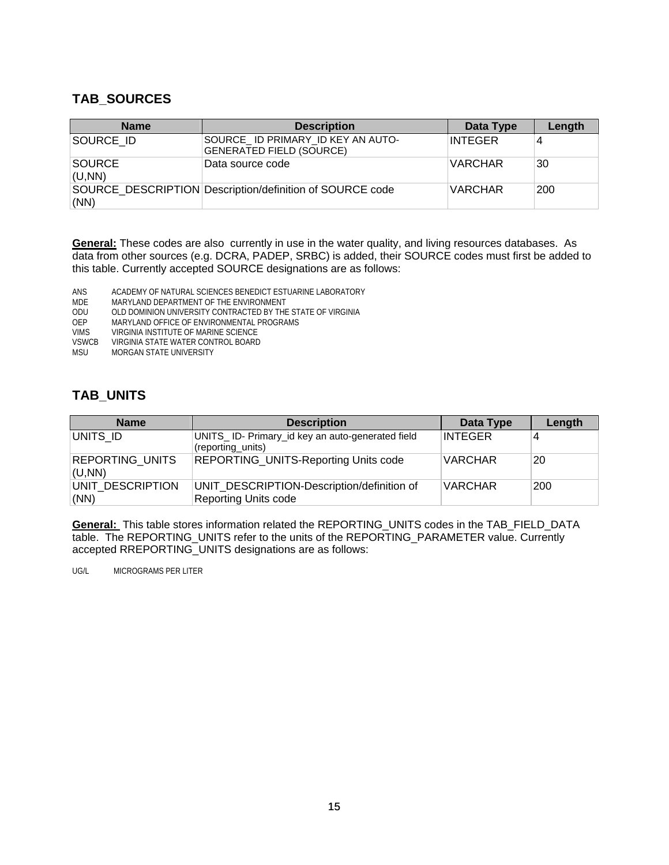#### **TAB\_SOURCES**

| <b>Name</b>             | <b>Description</b>                                                   | Data Type      | Length |
|-------------------------|----------------------------------------------------------------------|----------------|--------|
| SOURCE ID               | SOURCE ID PRIMARY ID KEY AN AUTO-<br><b>GENERATED FIELD (SOURCE)</b> | <b>INTEGER</b> |        |
| <b>SOURCE</b><br>(U,NN) | Data source code                                                     | <b>VARCHAR</b> | 30     |
| (NN)                    | SOURCE DESCRIPTION Description/definition of SOURCE code             | <b>VARCHAR</b> | 200    |

**General:** These codes are also currently in use in the water quality, and living resources databases. As data from other sources (e.g. DCRA, PADEP, SRBC) is added, their SOURCE codes must first be added to this table. Currently accepted SOURCE designations are as follows:

ANS ACADEMY OF NATURAL SCIENCES BENEDICT ESTUARINE LABORATORY

MDE MARYLAND DEPARTMENT OF THE ENVIRONMENT<br>ODU OLD DOMINION UNIVERSITY CONTRACTED BY THE

OLD DOMINION UNIVERSITY CONTRACTED BY THE STATE OF VIRGINIA

OEP MARYLAND OFFICE OF ENVIRONMENTAL PROGRAMS<br>VIMS VIRGINIA INSTITUTE OF MARINE SCIENCE

VIMS VIRGINIA INSTITUTE OF MARINE SCIENCE<br>VSWCB VIRGINIA STATE WATER CONTROL BOARD

VSWCB VIRGINIA STATE WATER CONTROL BOARD<br>MSU MORGAN STATE UNIVERSITY

MORGAN STATE UNIVERSITY

#### **TAB\_UNITS**

| <b>Name</b>                      | <b>Description</b>                                                        | Data Type      | Length |
|----------------------------------|---------------------------------------------------------------------------|----------------|--------|
| UNITS ID                         | UNITS_ID- Primary_id key an auto-generated field<br>(reporting units)     | <b>INTEGER</b> | 4      |
| <b>REPORTING UNITS</b><br>(U,NN) | <b>REPORTING_UNITS-Reporting Units code</b>                               | <b>VARCHAR</b> | 20     |
| UNIT DESCRIPTION<br>(NN)         | UNIT DESCRIPTION-Description/definition of<br><b>Reporting Units code</b> | <b>VARCHAR</b> | 200    |

**General:** This table stores information related the REPORTING\_UNITS codes in the TAB\_FIELD\_DATA table. The REPORTING\_UNITS refer to the units of the REPORTING\_PARAMETER value. Currently accepted RREPORTING\_UNITS designations are as follows:

UG/L MICROGRAMS PER LITER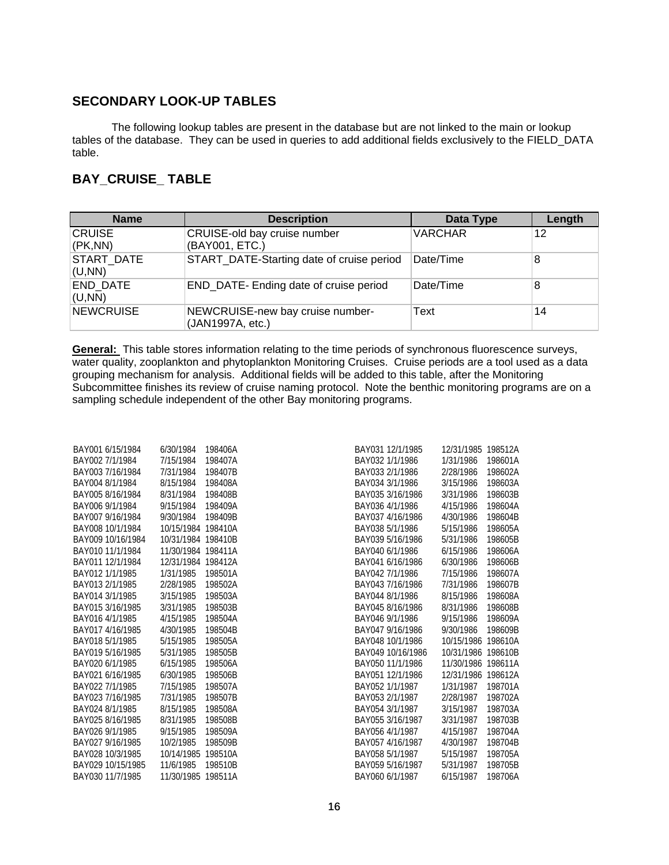#### **SECONDARY LOOK-UP TABLES**

The following lookup tables are present in the database but are not linked to the main or lookup tables of the database. They can be used in queries to add additional fields exclusively to the FIELD\_DATA table.

#### **BAY\_CRUISE\_ TABLE**

| <b>Name</b>               | <b>Description</b>                                   | Data Type      | Length |
|---------------------------|------------------------------------------------------|----------------|--------|
| <b>CRUISE</b><br>(PK,NN)  | CRUISE-old bay cruise number<br>(BAY001, ETC.)       | <b>VARCHAR</b> | 12     |
| START DATE<br>(U,NN)      | START_DATE-Starting date of cruise period            | Date/Time      | 8      |
| <b>END DATE</b><br>(U,NN) | END DATE- Ending date of cruise period               | Date/Time      | 8      |
| <b>NEWCRUISE</b>          | NEWCRUISE-new bay cruise number-<br>(JAN1997A, etc.) | Text           | 14     |

**General:** This table stores information relating to the time periods of synchronous fluorescence surveys, water quality, zooplankton and phytoplankton Monitoring Cruises. Cruise periods are a tool used as a data grouping mechanism for analysis. Additional fields will be added to this table, after the Monitoring Subcommittee finishes its review of cruise naming protocol. Note the benthic monitoring programs are on a sampling schedule independent of the other Bay monitoring programs.

| BAY001 6/15/1984  | 6/30/1984          | 198406A | BAY031 12/1/1985              | 12/31/1985 198512A   |  |
|-------------------|--------------------|---------|-------------------------------|----------------------|--|
| BAY002 7/1/1984   | 7/15/1984          | 198407A | BAY032 1/1/1986<br>1/31/1986  | 198601A              |  |
| BAY003 7/16/1984  | 7/31/1984          | 198407B | BAY033 2/1/1986<br>2/28/1986  | 198602A              |  |
| BAY004 8/1/1984   | 8/15/1984          | 198408A | BAY034 3/1/1986<br>3/15/1986  | 198603A              |  |
| BAY005 8/16/1984  | 8/31/1984          | 198408B | BAY035 3/16/1986<br>3/31/1986 | 198603B              |  |
| BAY006 9/1/1984   | 9/15/1984          | 198409A | BAY036 4/1/1986<br>4/15/1986  | 198604A              |  |
| BAY007 9/16/1984  | 9/30/1984          | 198409B | BAY037 4/16/1986<br>4/30/1986 | 198604B              |  |
| BAY008 10/1/1984  | 10/15/1984 198410A |         | BAY038 5/1/1986<br>5/15/1986  | 198605A              |  |
| BAY009 10/16/1984 | 10/31/1984 198410B |         | BAY039 5/16/1986<br>5/31/1986 | 198605B              |  |
| BAY010 11/1/1984  | 11/30/1984 198411A |         | BAY040 6/1/1986<br>6/15/1986  | 198606A              |  |
| BAY011 12/1/1984  | 12/31/1984 198412A |         | BAY041 6/16/1986<br>6/30/1986 | 198606B              |  |
| BAY012 1/1/1985   | 1/31/1985          | 198501A | BAY042 7/1/1986<br>7/15/1986  | 198607A              |  |
| BAY013 2/1/1985   | 2/28/1985          | 198502A | BAY043 7/16/1986<br>7/31/1986 | 198607B              |  |
| BAY014 3/1/1985   | 3/15/1985          | 198503A | BAY044 8/1/1986<br>8/15/1986  | 198608A              |  |
| BAY015 3/16/1985  | 3/31/1985          | 198503B | BAY045 8/16/1986<br>8/31/1986 | 198608B              |  |
| BAY016 4/1/1985   | 4/15/1985          | 198504A | BAY046 9/1/1986<br>9/15/1986  | 198609A              |  |
| BAY017 4/16/1985  | 4/30/1985          | 198504B | BAY047 9/16/1986<br>9/30/1986 | 198609B              |  |
| BAY018 5/1/1985   | 5/15/1985          | 198505A | BAY048 10/1/1986              | 10/15/1986 198610A   |  |
| BAY019 5/16/1985  | 5/31/1985          | 198505B | BAY049 10/16/1986             | 10/31/1986 198610B   |  |
| BAY020 6/1/1985   | 6/15/1985          | 198506A | BAY050 11/1/1986              | 11/30/1986 198611A   |  |
| BAY021 6/16/1985  | 6/30/1985          | 198506B | BAY051 12/1/1986              | 12/31/1986 198612A   |  |
| BAY022 7/1/1985   | 7/15/1985          | 198507A | BAY052 1/1/1987               | 1/31/1987<br>198701A |  |
| BAY023 7/16/1985  | 7/31/1985          | 198507B | BAY053 2/1/1987<br>2/28/1987  | 198702A              |  |
| BAY024 8/1/1985   | 8/15/1985          | 198508A | BAY054 3/1/1987<br>3/15/1987  | 198703A              |  |
| BAY025 8/16/1985  | 8/31/1985          | 198508B | BAY055 3/16/1987<br>3/31/1987 | 198703B              |  |
| BAY026 9/1/1985   | 9/15/1985          | 198509A | BAY056 4/1/1987<br>4/15/1987  | 198704A              |  |
| BAY027 9/16/1985  | 10/2/1985          | 198509B | BAY057 4/16/1987<br>4/30/1987 | 198704B              |  |
| BAY028 10/3/1985  | 10/14/1985 198510A |         | BAY058 5/1/1987<br>5/15/1987  | 198705A              |  |
| BAY029 10/15/1985 | 11/6/1985          | 198510B | BAY059 5/16/1987<br>5/31/1987 | 198705B              |  |
| BAY030 11/7/1985  | 11/30/1985 198511A |         | BAY060 6/1/1987<br>6/15/1987  | 198706A              |  |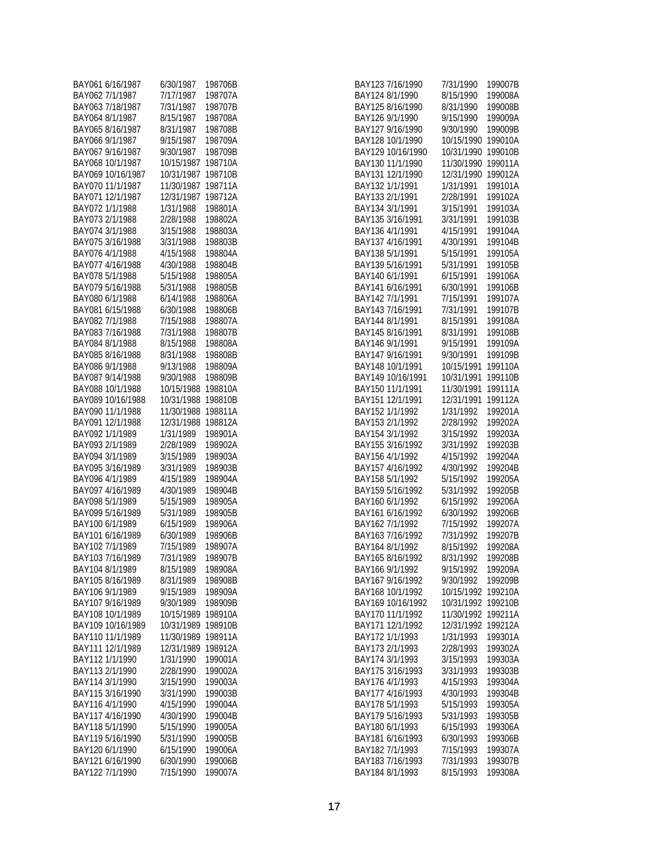| BAY061 6/16/1987  | 6/30/1987  | 198706B |
|-------------------|------------|---------|
| BAY062 7/1/1987   | 7/17/1987  | 198707A |
| BAY063 7/18/1987  | 7/31/1987  | 198707B |
| BAY064 8/1/1987   | 8/15/1987  | 198708A |
| BAY065 8/16/1987  | 8/31/1987  | 198708B |
| BAY066 9/1/1987   | 9/15/1987  | 198709A |
| BAY067 9/16/1987  | 9/30/1987  | 198709B |
| BAY068 10/1/1987  | 10/15/1987 | 198710A |
| BAY069 10/16/1987 | 10/31/1987 | 198710B |
| BAY070 11/1/1987  | 11/30/1987 | 198711A |
| BAY071 12/1/1987  | 12/31/1987 | 198712A |
| BAY072 1/1/1988   | 1/31/1988  | 198801A |
| BAY073 2/1/1988   | 2/28/1988  | 198802A |
| BAY074 3/1/1988   | 3/15/1988  | 198803A |
| BAY075 3/16/1988  | 3/31/1988  | 198803B |
| BAY076 4/1/1988   | 4/15/1988  | 198804A |
| BAY077 4/16/1988  | 4/30/1988  | 198804B |
| BAY078 5/1/1988   | 5/15/1988  | 198805A |
| BAY079 5/16/1988  | 5/31/1988  | 198805B |
| BAY080 6/1/1988   | 6/14/1988  | 198806A |
| BAY081 6/15/1988  | 6/30/1988  | 198806B |
| BAY082 7/1/1988   | 7/15/1988  | 198807A |
| BAY083 7/16/1988  | 7/31/1988  | 198807B |
| BAY084 8/1/1988   | 8/15/1988  | 198808A |
| BAY085 8/16/1988  | 8/31/1988  | 198808B |
| BAY086 9/1/1988   | 9/13/1988  | 198809A |
| BAY087 9/14/1988  | 9/30/1988  | 198809B |
| BAY088 10/1/1988  | 10/15/1988 | 198810A |
| BAY089 10/16/1988 | 10/31/1988 | 198810B |
| BAY090 11/1/1988  | 11/30/1988 | 198811A |
| BAY091 12/1/1988  | 12/31/1988 | 198812A |
| BAY092 1/1/1989   | 1/31/1989  | 198901A |
| BAY093 2/1/1989   | 2/28/1989  | 198902A |
| BAY094 3/1/1989   | 3/15/1989  | 198903A |
| BAY095 3/16/1989  | 3/31/1989  | 198903B |
| BAY096 4/1/1989   | 4/15/1989  | 198904A |
| BAY097 4/16/1989  | 4/30/1989  | 198904B |
| BAY098 5/1/1989   | 5/15/1989  | 198905A |
| BAY099 5/16/1989  | 5/31/1989  | 198905B |
| BAY100 6/1/1989   | 6/15/1989  | 198906A |
| BAY101 6/16/1989  | 6/30/1989  | 198906B |
| BAY102 7/1/1989   | 7/15/1989  | 198907A |
| BAY103 7/16/1989  | 7/31/1989  | 198907B |
| BAY104 8/1/1989   | 8/15/1989  | 198908A |
| BAY105 8/16/1989  | 8/31/1989  | 198908B |
| BAY106 9/1/1989   | 9/15/1989  | 198909A |
| BAY107 9/16/1989  | 9/30/1989  | 198909B |
| BAY108 10/1/1989  | 10/15/1989 | 198910A |
| BAY109 10/16/1989 | 10/31/1989 | 198910B |
| BAY110 11/1/1989  | 11/30/1989 | 198911A |
| BAY111 12/1/1989  | 12/31/1989 | 198912A |
| BAY112 1/1/1990   | 1/31/1990  | 199001A |
| BAY113 2/1/1990   | 2/28/1990  | 199002A |
| BAY114 3/1/1990   | 3/15/1990  | 199003A |
| BAY115 3/16/1990  | 3/31/1990  | 199003B |
| BAY116 4/1/1990   | 4/15/1990  | 199004A |
| BAY117 4/16/1990  | 4/30/1990  | 199004B |
| BAY118 5/1/1990   | 5/15/1990  | 199005A |
| BAY119 5/16/1990  | 5/31/1990  | 199005B |
| BAY120 6/1/1990   | 6/15/1990  | 199006A |
| BAY121 6/16/1990  | 6/30/1990  | 199006B |
| BAY122 7/1/1990   | 7/15/1990  | 199007A |
|                   |            |         |

| BAY123 7/16/1990                    | 7/31/1990  | 199007B            |
|-------------------------------------|------------|--------------------|
| BAY124 8/1/1990                     | 8/15/1990  | 199008A            |
| BAY125 8/16/1990                    | 8/31/1990  | 199008B            |
| BAY126 9/1/1990                     | 9/15/1990  | 199009A            |
| BAY127 9/16/1990                    | 9/30/1990  | 199009B            |
| BAY128 10/1/1990                    | 10/15/1990 | 199010A            |
| BAY129 10/16/1990                   | 10/31/1990 | 199010B            |
| BAY130 11/1/1990                    | 11/30/1990 | 199011A            |
| BAY131 12/1/1990                    | 12/31/1990 | 199012A            |
| BAY132 1/1/1991                     | 1/31/1991  | 199101A            |
| BAY133 2/1/1991                     | 2/28/1991  | 199102A            |
|                                     |            |                    |
| BAY134 3/1/1991<br>BAY135 3/16/1991 | 3/15/1991  | 199103A<br>199103B |
|                                     | 3/31/1991  |                    |
| BAY136 4/1/1991                     | 4/15/1991  | 199104A            |
| BAY137 4/16/1991                    | 4/30/1991  | 199104B            |
| BAY138 5/1/1991                     | 5/15/1991  | 199105A            |
| BAY139 5/16/1991                    | 5/31/1991  | 199105B            |
| BAY140 6/1/1991                     | 6/15/1991  | 199106A            |
| BAY141 6/16/1991                    | 6/30/1991  | 199106B            |
| BAY142 7/1/1991                     | 7/15/1991  | 199107A            |
| BAY143 7/16/1991                    | 7/31/1991  | 199107B            |
| BAY144 8/1/1991                     | 8/15/1991  | 199108A            |
| BAY145 8/16/1991                    | 8/31/1991  | 199108B            |
| BAY146 9/1/1991                     | 9/15/1991  | 199109A            |
| BAY147 9/16/1991                    | 9/30/1991  | 199109B            |
| BAY148 10/1/1991                    | 10/15/1991 | 199110A            |
| BAY149 10/16/1991                   | 10/31/1991 | 199110B            |
| BAY150 11/1/1991                    | 11/30/1991 | 199111A            |
| BAY151 12/1/1991                    | 12/31/1991 | 199112A            |
| BAY152 1/1/1992                     | 1/31/1992  | 199201A            |
| BAY153 2/1/1992                     | 2/28/1992  | 199202A            |
| BAY154 3/1/1992                     | 3/15/1992  | 199203A            |
| BAY155 3/16/1992                    | 3/31/1992  | 199203B            |
| BAY156 4/1/1992                     | 4/15/1992  | 199204A            |
| BAY157 4/16/1992                    | 4/30/1992  | 199204B            |
| BAY158 5/1/1992                     | 5/15/1992  | 199205A            |
| BAY159 5/16/1992                    | 5/31/1992  | 199205B            |
| BAY160 6/1/1992                     | 6/15/1992  | 199206A            |
| BAY161 6/16/1992                    | 6/30/1992  | 199206B            |
| BAY162 7/1/1992                     | 7/15/1992  | 199207A            |
| BAY163 7/16/1992                    | 7/31/1992  | 199207B            |
| BAY164 8/1/1992                     | 8/15/1992  | 199208A            |
| BAY165 8/16/1992                    | 8/31/1992  | 199208B            |
| BAY166 9/1/1992                     | 9/15/1992  | 199209A            |
| BAY167 9/16/1992                    | 9/30/1992  | 199209B            |
| BAY168 10/1/1992                    | 10/15/1992 | 199210A            |
| BAY169 10/16/1992                   | 10/31/1992 | 199210B            |
| BAY170 11/1/1992                    | 11/30/1992 | 199211A            |
| BAY171 12/1/1992                    | 12/31/1992 | 199212A            |
| BAY172 1/1/1993                     | 1/31/1993  | 199301A            |
| BAY173 2/1/1993                     | 2/28/1993  | 199302A            |
| BAY174 3/1/1993                     | 3/15/1993  | 199303A            |
| BAY175 3/16/1993                    | 3/31/1993  | 199303B            |
| BAY176 4/1/1993                     | 4/15/1993  | 199304A            |
| BAY177 4/16/1993                    | 4/30/1993  | 199304B            |
| BAY178 5/1/1993                     | 5/15/1993  | 199305A            |
| BAY179 5/16/1993                    | 5/31/1993  | 199305B            |
| BAY180 6/1/1993                     | 6/15/1993  | 199306A            |
| BAY181 6/16/1993                    | 6/30/1993  | 199306B            |
|                                     |            | 199307A            |
| BAY182 7/1/1993                     | 7/15/1993  |                    |
| BAY183 7/16/1993                    | 7/31/1993  | 199307B            |
| BAY184 8/1/1993                     | 8/15/1993  | 199308A            |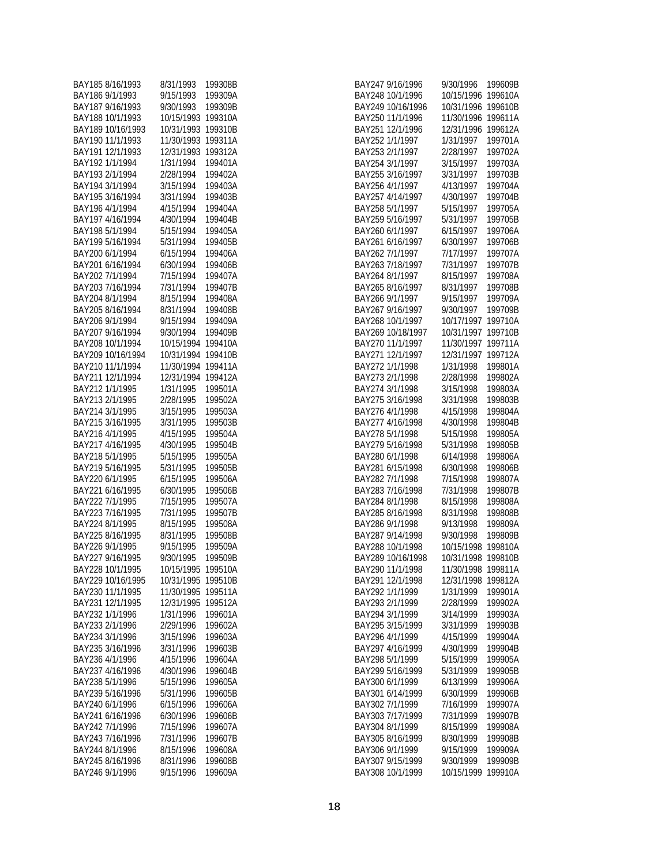| BAY185 8/16/1993  | 8/31/1993  | 199308B |
|-------------------|------------|---------|
| BAY186 9/1/1993   | 9/15/1993  | 199309A |
| BAY187 9/16/1993  | 9/30/1993  | 199309B |
| BAY188 10/1/1993  | 10/15/1993 | 199310A |
| BAY189 10/16/1993 | 10/31/1993 | 199310B |
| BAY190 11/1/1993  | 11/30/1993 | 199311A |
| BAY191 12/1/1993  | 12/31/1993 | 199312A |
| BAY192 1/1/1994   | 1/31/1994  | 199401A |
| BAY193 2/1/1994   | 2/28/1994  | 199402A |
| BAY194 3/1/1994   | 3/15/1994  | 199403A |
| BAY195 3/16/1994  | 3/31/1994  | 199403B |
| BAY196 4/1/1994   | 4/15/1994  | 199404A |
| BAY197 4/16/1994  | 4/30/1994  | 199404B |
| BAY198 5/1/1994   | 5/15/1994  | 199405A |
| BAY199 5/16/1994  | 5/31/1994  | 199405B |
| BAY200 6/1/1994   | 6/15/1994  | 199406A |
| BAY201 6/16/1994  | 6/30/1994  | 199406B |
| BAY202 7/1/1994   | 7/15/1994  | 199407A |
| BAY203 7/16/1994  | 7/31/1994  | 199407B |
| BAY204 8/1/1994   | 8/15/1994  | 199408A |
| BAY205 8/16/1994  | 8/31/1994  | 199408B |
| BAY206 9/1/1994   | 9/15/1994  | 199409A |
| BAY207 9/16/1994  | 9/30/1994  | 199409B |
| BAY208 10/1/1994  | 10/15/1994 | 199410A |
| BAY209 10/16/1994 | 10/31/1994 | 199410B |
| BAY210 11/1/1994  | 11/30/1994 | 199411A |
| BAY211 12/1/1994  | 12/31/1994 | 199412A |
| BAY212 1/1/1995   | 1/31/1995  | 199501A |
| BAY213 2/1/1995   | 2/28/1995  | 199502A |
| BAY214 3/1/1995   | 3/15/1995  | 199503A |
| BAY215 3/16/1995  | 3/31/1995  | 199503B |
| BAY216 4/1/1995   | 4/15/1995  | 199504A |
| BAY217 4/16/1995  | 4/30/1995  | 199504B |
| BAY218 5/1/1995   | 5/15/1995  | 199505A |
| BAY219 5/16/1995  | 5/31/1995  | 199505B |
| BAY220 6/1/1995   | 6/15/1995  | 199506A |
| BAY221 6/16/1995  | 6/30/1995  | 199506B |
| BAY222 7/1/1995   | 7/15/1995  | 199507A |
| BAY223 7/16/1995  | 7/31/1995  | 199507B |
| BAY224 8/1/1995   | 8/15/1995  | 199508A |
| BAY225 8/16/1995  | 8/31/1995  | 199508B |
| BAY226 9/1/1995   | 9/15/1995  | 199509A |
| BAY227 9/16/1995  | 9/30/1995  | 199509B |
| BAY228 10/1/1995  | 10/15/1995 | 199510A |
| BAY229 10/16/1995 | 10/31/1995 | 199510B |
| BAY230 11/1/1995  | 11/30/1995 | 199511A |
| BAY231 12/1/1995  | 12/31/1995 | 199512A |
| BAY232 1/1/1996   | 1/31/1996  | 199601A |
| BAY233 2/1/1996   | 2/29/1996  | 199602A |
| BAY234 3/1/1996   | 3/15/1996  | 199603A |
| BAY235 3/16/1996  | 3/31/1996  | 199603B |
| BAY236 4/1/1996   | 4/15/1996  | 199604A |
| BAY237 4/16/1996  | 4/30/1996  | 199604B |
| BAY238 5/1/1996   | 5/15/1996  | 199605A |
| BAY239 5/16/1996  | 5/31/1996  | 199605B |
| BAY240 6/1/1996   | 6/15/1996  | 199606A |
| BAY241 6/16/1996  | 6/30/1996  | 199606B |
| BAY242 7/1/1996   | 7/15/1996  | 199607A |
| BAY243 7/16/1996  | 7/31/1996  | 199607B |
| BAY244 8/1/1996   | 8/15/1996  | 199608A |
| BAY245 8/16/1996  | 8/31/1996  | 199608B |
| BAY246 9/1/1996   | 9/15/1996  | 199609A |
|                   |            |         |

| BAY247 9/16/1996    | 9/30/1996  | 199609B |
|---------------------|------------|---------|
| BAY248 10/1/1996    | 10/15/1996 | 199610A |
| BAY249 10/16/1996   | 10/31/1996 | 199610B |
| BAY250 11/1/1996    | 11/30/1996 | 199611A |
| BAY251<br>12/1/1996 | 12/31/1996 | 199612A |
| BAY252 1/1/1997     | 1/31/1997  | 199701A |
| BAY253 2/1/1997     | 2/28/1997  | 199702A |
|                     |            |         |
| BAY254 3/1/1997     | 3/15/1997  | 199703A |
| BAY255 3/16/1997    | 3/31/1997  | 199703B |
| BAY256 4/1/1997     | 4/13/1997  | 199704A |
| BAY257 4/14/1997    | 4/30/1997  | 199704B |
| BAY258 5/1/1997     | 5/15/1997  | 199705A |
| BAY259 5/16/1997    | 5/31/1997  | 199705B |
| BAY260 6/1/1997     | 6/15/1997  | 199706A |
| BAY261 6/16/1997    | 6/30/1997  | 199706B |
| BAY262 7/1/1997     | 7/17/1997  | 199707A |
| BAY263 7/18/1997    | 7/31/1997  | 199707B |
| BAY264 8/1/1997     | 8/15/1997  | 199708A |
| BAY265 8/16/1997    | 8/31/1997  | 199708B |
| BAY266 9/1/1997     | 9/15/1997  | 199709A |
| BAY267 9/16/1997    | 9/30/1997  | 199709B |
| BAY268 10/1/1997    | 10/17/1997 | 199710A |
| BAY269 10/18/1997   | 10/31/1997 | 199710B |
| BAY270 11/1/1997    | 11/30/1997 | 199711A |
| BAY271<br>12/1/1997 | 12/31/1997 | 199712A |
| BAY272 1/1/1998     | 1/31/1998  | 199801A |
| BAY273 2/1/1998     | 2/28/1998  | 199802A |
| BAY274 3/1/1998     | 3/15/1998  | 199803A |
|                     |            |         |
| BAY275 3/16/1998    | 3/31/1998  | 199803B |
| BAY276 4/1/1998     | 4/15/1998  | 199804A |
| BAY277 4/16/1998    | 4/30/1998  | 199804B |
| BAY278 5/1/1998     | 5/15/1998  | 199805A |
| BAY279 5/16/1998    | 5/31/1998  | 199805B |
| BAY280 6/1/1998     | 6/14/1998  | 199806A |
| BAY281 6/15/1998    | 6/30/1998  | 199806B |
| BAY282 7/1/1998     | 7/15/1998  | 199807A |
| BAY283 7/16/1998    | 7/31/1998  | 199807B |
| BAY284 8/1/1998     | 8/15/1998  | 199808A |
| BAY285 8/16/1998    | 8/31/1998  | 199808B |
| BAY286 9/1/1998     | 9/13/1998  | 199809A |
| BAY287 9/14/1998    | 9/30/1998  | 199809B |
| BAY288 10/1/1998    | 10/15/1998 | 199810A |
| BAY289 10/16/1998   | 10/31/1998 | 199810B |
| BAY290 11/1/1998    | 11/30/1998 | 199811A |
| BAY291 12/1/1998    | 12/31/1998 | 199812A |
| BAY292 1/1/1999     | 1/31/1999  | 199901A |
| BAY293 2/1/1999     | 2/28/1999  | 199902A |
| BAY294 3/1/1999     | 3/14/1999  | 199903A |
| BAY295 3/15/1999    | 3/31/1999  | 199903B |
| BAY296 4/1/1999     | 4/15/1999  | 199904A |
| BAY297 4/16/1999    | 4/30/1999  | 199904B |
| BAY298 5/1/1999     | 5/15/1999  | 199905A |
| BAY299 5/16/1999    | 5/31/1999  | 199905B |
|                     |            |         |
| BAY300 6/1/1999     | 6/13/1999  | 199906A |
| BAY301 6/14/1999    | 6/30/1999  | 199906B |
| BAY302 7/1/1999     | 7/16/1999  | 199907A |
| BAY303 7/17/1999    | 7/31/1999  | 199907B |
| BAY304 8/1/1999     | 8/15/1999  | 199908A |
| BAY305 8/16/1999    | 8/30/1999  | 199908B |
| BAY306 9/1/1999     | 9/15/1999  | 199909A |
| BAY307 9/15/1999    | 9/30/1999  | 199909B |
| BAY308 10/1/1999    | 10/15/1999 | 199910A |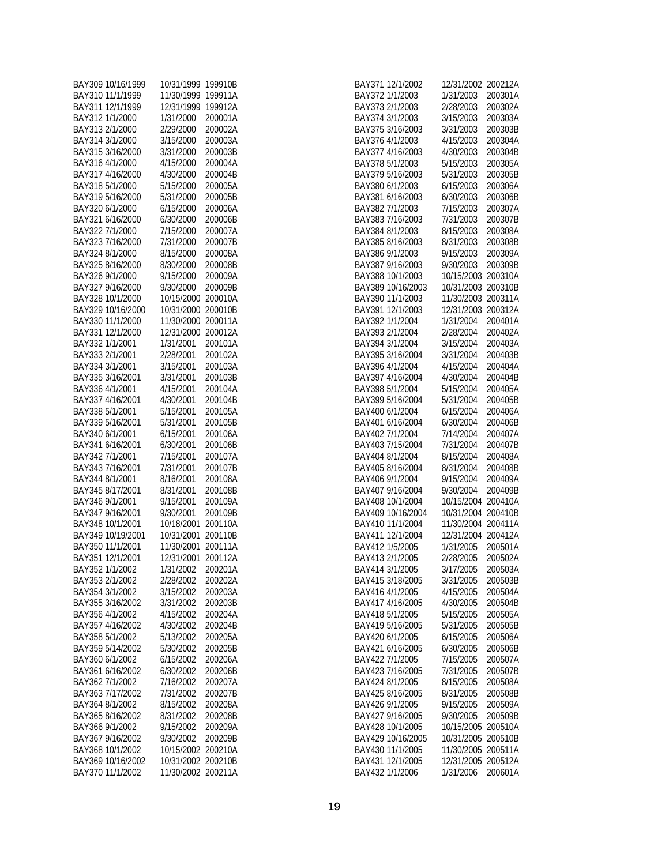| BAY309 10/16/1999 | 10/31/1999 | 199910B |
|-------------------|------------|---------|
| BAY310 11/1/1999  | 11/30/1999 | 199911A |
| BAY311 12/1/1999  | 12/31/1999 | 199912A |
| BAY312 1/1/2000   | 1/31/2000  | 200001A |
| BAY313 2/1/2000   | 2/29/2000  | 200002A |
| BAY314 3/1/2000   | 3/15/2000  | 200003A |
| BAY315 3/16/2000  | 3/31/2000  | 200003B |
| BAY316 4/1/2000   | 4/15/2000  | 200004A |
| BAY317 4/16/2000  | 4/30/2000  | 200004B |
| BAY318 5/1/2000   | 5/15/2000  | 200005A |
| BAY319 5/16/2000  | 5/31/2000  | 200005B |
| BAY320 6/1/2000   | 6/15/2000  | 200006A |
| BAY321 6/16/2000  | 6/30/2000  | 200006B |
| BAY322 7/1/2000   | 7/15/2000  | 200007A |
| BAY323 7/16/2000  | 7/31/2000  | 200007B |
| BAY324 8/1/2000   | 8/15/2000  | 200008A |
| BAY325 8/16/2000  | 8/30/2000  | 200008B |
| BAY326 9/1/2000   | 9/15/2000  | 200009A |
| BAY327 9/16/2000  | 9/30/2000  | 200009B |
| BAY328 10/1/2000  | 10/15/2000 | 200010A |
| BAY329 10/16/2000 | 10/31/2000 | 200010B |
| BAY330 11/1/2000  | 11/30/2000 | 200011A |
| BAY331 12/1/2000  | 12/31/2000 | 200012A |
| BAY332 1/1/2001   | 1/31/2001  | 200101A |
| BAY333 2/1/2001   | 2/28/2001  | 200102A |
| BAY334 3/1/2001   | 3/15/2001  | 200103A |
| BAY335 3/16/2001  | 3/31/2001  | 200103B |
| BAY336 4/1/2001   | 4/15/2001  | 200104A |
| BAY337 4/16/2001  | 4/30/2001  | 200104B |
| BAY338 5/1/2001   | 5/15/2001  | 200105A |
| BAY339 5/16/2001  | 5/31/2001  | 200105B |
| BAY340 6/1/2001   | 6/15/2001  | 200106A |
| BAY341 6/16/2001  | 6/30/2001  | 200106B |
| BAY342 7/1/2001   | 7/15/2001  | 200107A |
| BAY343 7/16/2001  | 7/31/2001  | 200107B |
| BAY344 8/1/2001   | 8/16/2001  | 200108A |
| BAY345 8/17/2001  | 8/31/2001  | 200108B |
| BAY346 9/1/2001   | 9/15/2001  | 200109A |
| BAY347 9/16/2001  | 9/30/2001  | 200109B |
| BAY348 10/1/2001  | 10/18/2001 | 200110A |
| BAY349 10/19/2001 | 10/31/2001 | 200110B |
| BAY350 11/1/2001  | 11/30/2001 | 200111A |
| BAY351 12/1/2001  | 12/31/2001 | 200112A |
| BAY352 1/1/2002   | 1/31/2002  | 200201A |
| BAY353 2/1/2002   | 2/28/2002  | 200202A |
| BAY354 3/1/2002   | 3/15/2002  | 200203A |
| BAY355 3/16/2002  | 3/31/2002  | 200203B |
| BAY356 4/1/2002   | 4/15/2002  | 200204A |
| BAY357 4/16/2002  | 4/30/2002  | 200204B |
| BAY358 5/1/2002   | 5/13/2002  | 200205A |
| BAY359 5/14/2002  | 5/30/2002  | 200205B |
| BAY360 6/1/2002   | 6/15/2002  | 200206A |
| BAY361 6/16/2002  | 6/30/2002  | 200206B |
| BAY362 7/1/2002   | 7/16/2002  | 200207A |
| BAY363 7/17/2002  | 7/31/2002  | 200207B |
| BAY364 8/1/2002   | 8/15/2002  | 200208A |
| BAY365 8/16/2002  | 8/31/2002  | 200208B |
| BAY366 9/1/2002   | 9/15/2002  | 200209A |
| BAY367 9/16/2002  | 9/30/2002  | 200209B |
| BAY368 10/1/2002  | 10/15/2002 | 200210A |
| BAY369 10/16/2002 | 10/31/2002 | 200210B |
| BAY370 11/1/2002  | 11/30/2002 | 200211A |
|                   |            |         |

| BAY371 12/1/2002  | 12/31/2002 | 200212A |
|-------------------|------------|---------|
| BAY372 1/1/2003   | 1/31/2003  | 200301A |
| BAY373 2/1/2003   | 2/28/2003  | 200302A |
| BAY374 3/1/2003   | 3/15/2003  | 200303A |
|                   | 3/31/2003  |         |
| BAY375 3/16/2003  |            | 200303B |
| BAY376 4/1/2003   | 4/15/2003  | 200304A |
| BAY377 4/16/2003  | 4/30/2003  | 200304B |
| BAY378 5/1/2003   | 5/15/2003  | 200305A |
| BAY379 5/16/2003  | 5/31/2003  | 200305B |
| BAY380 6/1/2003   | 6/15/2003  | 200306A |
| BAY381 6/16/2003  | 6/30/2003  | 200306B |
| BAY382 7/1/2003   | 7/15/2003  | 200307A |
| BAY383 7/16/2003  | 7/31/2003  | 200307B |
| BAY384 8/1/2003   | 8/15/2003  | 200308A |
| BAY385 8/16/2003  | 8/31/2003  | 200308B |
|                   |            |         |
| BAY386 9/1/2003   | 9/15/2003  | 200309A |
| BAY387 9/16/2003  | 9/30/2003  | 200309B |
| BAY388 10/1/2003  | 10/15/2003 | 200310A |
| BAY389 10/16/2003 | 10/31/2003 | 200310B |
| BAY390 11/1/2003  | 11/30/2003 | 200311A |
| BAY391 12/1/2003  | 12/31/2003 | 200312A |
| BAY392 1/1/2004   | 1/31/2004  | 200401A |
| BAY393 2/1/2004   | 2/28/2004  | 200402A |
| BAY394 3/1/2004   | 3/15/2004  | 200403A |
| BAY395 3/16/2004  | 3/31/2004  | 200403B |
| BAY396 4/1/2004   | 4/15/2004  | 200404A |
| BAY397 4/16/2004  | 4/30/2004  | 200404B |
| BAY398 5/1/2004   | 5/15/2004  | 200405A |
| BAY399 5/16/2004  | 5/31/2004  | 200405B |
| BAY400 6/1/2004   | 6/15/2004  | 200406A |
| BAY401 6/16/2004  | 6/30/2004  | 200406B |
|                   |            |         |
| BAY402 7/1/2004   | 7/14/2004  | 200407A |
| BAY403 7/15/2004  | 7/31/2004  | 200407B |
| BAY404 8/1/2004   | 8/15/2004  | 200408A |
| BAY405 8/16/2004  | 8/31/2004  | 200408B |
| BAY406 9/1/2004   | 9/15/2004  | 200409A |
| BAY407 9/16/2004  | 9/30/2004  | 200409B |
| BAY408 10/1/2004  | 10/15/2004 | 200410A |
| BAY409 10/16/2004 | 10/31/2004 | 200410B |
| BAY410 11/1/2004  | 11/30/2004 | 200411A |
| BAY411 12/1/2004  | 12/31/2004 | 200412A |
| BAY412 1/5/2005   | 1/31/2005  | 200501A |
| BAY413 2/1/2005   | 2/28/2005  | 200502A |
| BAY414 3/1/2005   | 3/17/2005  | 200503A |
| BAY415 3/18/2005  | 3/31/2005  | 200503B |
| BAY416 4/1/2005   | 4/15/2005  | 200504A |
| BAY417 4/16/2005  | 4/30/2005  | 200504B |
| BAY418 5/1/2005   | 5/15/2005  | 200505A |
| BAY419 5/16/2005  | 5/31/2005  | 200505B |
|                   |            |         |
| BAY420 6/1/2005   | 6/15/2005  | 200506A |
| BAY421 6/16/2005  | 6/30/2005  | 200506B |
| BAY422 7/1/2005   | 7/15/2005  | 200507A |
| BAY423 7/16/2005  | 7/31/2005  | 200507B |
| BAY424 8/1/2005   | 8/15/2005  | 200508A |
| BAY425 8/16/2005  | 8/31/2005  | 200508B |
| BAY426 9/1/2005   | 9/15/2005  | 200509A |
| BAY427 9/16/2005  | 9/30/2005  | 200509B |
| BAY428 10/1/2005  | 10/15/2005 | 200510A |
| BAY429 10/16/2005 | 10/31/2005 | 200510B |
| BAY430 11/1/2005  | 11/30/2005 | 200511A |
| BAY431 12/1/2005  | 12/31/2005 | 200512A |
| BAY432 1/1/2006   | 1/31/2006  | 200601A |
|                   |            |         |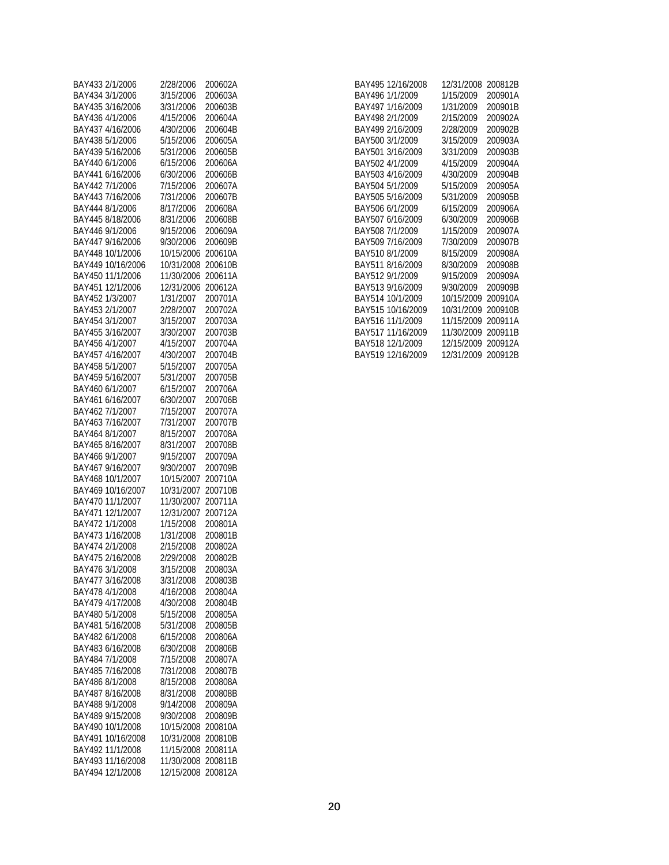| BAY433 2/1/2006                       | 2/28/2006                | 200602A            |
|---------------------------------------|--------------------------|--------------------|
|                                       |                          |                    |
| BAY434 3/1/2006                       | 3/15/2006                | 200603A            |
| BAY435 3/16/2006                      | 3/31/2006                | 200603B            |
| BAY436 4/1/2006                       | 4/15/2006                | 200604A            |
| BAY437 4/16/2006                      | 4/30/2006                | 200604B            |
|                                       |                          |                    |
| BAY438 5/1/2006                       | 5/15/2006                | 200605A            |
| BAY439 5/16/2006                      | 5/31/2006                | 200605B            |
| BAY440 6/1/2006                       | 6/15/2006                | 200606A            |
| BAY441 6/16/2006                      | 6/30/2006                | 200606B            |
|                                       |                          |                    |
| BAY442 7/1/2006                       | 7/15/2006                | 200607A            |
| BAY443 7/16/2006                      | 7/31/2006                | 200607B            |
| BAY444 8/1/2006                       | 8/17/2006                | 200608A            |
| BAY445 8/18/2006                      | 8/31/2006                | 200608B            |
| BAY446 9/1/2006                       | 9/15/2006                | 200609A            |
|                                       |                          |                    |
| BAY447 9/16/2006                      | 9/30/2006                | 200609B            |
| BAY448 10/1/2006                      | 10/15/2006               | 200610A            |
| BAY449 10/16/2006                     | 10/31/2008               | 200610B            |
| BAY450 11/1/2006                      | 11/30/2006               | 200611A            |
| BAY451 12/1/2006                      | 12/31/2006               | 200612A            |
|                                       |                          |                    |
| BAY452 1/3/2007                       | 1/31/2007                | 200701A            |
| BAY453 2/1/2007                       | 2/28/2007                | 200702A            |
| BAY454 3/1/2007                       | 3/15/2007                | 200703A            |
| BAY455 3/16/2007                      | 3/30/2007                | 200703B            |
|                                       |                          |                    |
| BAY456 4/1/2007                       | 4/15/2007                | 200704A            |
| BAY457 4/16/2007                      | 4/30/2007                | 200704B            |
| BAY458 5/1/2007                       | 5/15/2007                | 200705A            |
| BAY459 5/16/2007                      | 5/31/2007                | 200705B            |
| BAY460 6/1/2007                       | 6/15/2007                | 200706A            |
|                                       |                          |                    |
| BAY461 6/16/2007                      | 6/30/2007                | 200706B            |
| BAY462 7/1/2007                       | 7/15/2007                | 200707A            |
| BAY463 7/16/2007                      | 7/31/2007                | 200707B            |
| BAY464 8/1/2007                       | 8/15/2007                | 200708A            |
| BAY465 8/16/2007                      | 8/31/2007                | 200708B            |
|                                       |                          |                    |
| BAY466 9/1/2007                       | 9/15/2007                | 200709A            |
| BAY467 9/16/2007                      | 9/30/2007                | 200709B            |
| BAY468 10/1/2007                      | 10/15/2007               | 200710A            |
| BAY469 10/16/2007                     | 10/31/2007               | 200710B            |
| BAY470 11/1/2007                      | 11/30/2007               | 200711A            |
| BAY471 12/1/2007                      | 12/31/2007               |                    |
|                                       |                          | 200712A            |
| BAY472 1/1/2008                       | 1/15/2008                | 200801A            |
| BAY473 1/16/2008                      | 1/31/2008                | 200801B            |
| BAY474 2/1/2008                       | 2/15/2008                | 200802A            |
| BAY475 2/16/2008                      | 2/29/2008                | 200802B            |
| BAY476 3/1/2008                       | 3/15/2008                |                    |
|                                       |                          | 200803A            |
| BAY477 3/16/2008                      | 3/31/2008                | 200803B            |
| BAY478 4/1/2008                       | 4/16/2008                | 200804A            |
| BAY479 4/17/2008                      | 4/30/2008                | 200804B            |
| BAY480 5/1/2008                       | 5/15/2008                | 200805A            |
|                                       | 5/31/2008                |                    |
| BAY481 5/16/2008                      |                          | 200805B            |
| BAY482 6/1/2008                       | 6/15/2008                | 200806A            |
| BAY483 6/16/2008                      | 6/30/2008                | 200806B            |
| BAY484 7/1/2008                       | 7/15/2008                | 200807A            |
| BAY485 7/16/2008                      | 7/31/2008                | 200807B            |
|                                       |                          |                    |
| BAY486 8/1/2008                       | 8/15/2008                | 200808A            |
| BAY487 8/16/2008                      | 8/31/2008                | 200808B            |
| BAY488 9/1/2008                       | 9/14/2008                | 200809A            |
| BAY489 9/15/2008                      | 9/30/2008                | 200809B            |
| BAY490 10/1/2008                      | 10/15/2008               | 200810A            |
| BAY491 10/16/2008                     |                          |                    |
|                                       |                          |                    |
|                                       | 10/31/2008               | 200810B            |
| BAY492 11/1/2008                      | 11/15/2008               | 200811A            |
| BAY493 11/16/2008<br>BAY494 12/1/2008 | 11/30/2008<br>12/15/2008 | 200811B<br>200812A |

|                 | BAY495 12/16/2008 | 12/31/2008 | 200812B |
|-----------------|-------------------|------------|---------|
| BAY496 1/1/2009 |                   | 1/15/2009  | 200901A |
|                 | BAY497 1/16/2009  | 1/31/2009  | 200901B |
| BAY498 2/1/2009 |                   | 2/15/2009  | 200902A |
|                 | BAY499 2/16/2009  | 2/28/2009  | 200902B |
| BAY500 3/1/2009 |                   | 3/15/2009  | 200903A |
|                 | BAY501 3/16/2009  | 3/31/2009  | 200903B |
| BAY502 4/1/2009 |                   | 4/15/2009  | 200904A |
|                 | BAY503 4/16/2009  | 4/30/2009  | 200904B |
| BAY504 5/1/2009 |                   | 5/15/2009  | 200905A |
|                 | BAY505 5/16/2009  | 5/31/2009  | 200905B |
| BAY506 6/1/2009 |                   | 6/15/2009  | 200906A |
|                 | BAY507 6/16/2009  | 6/30/2009  | 200906B |
| BAY508 7/1/2009 |                   | 1/15/2009  | 200907A |
|                 | BAY509 7/16/2009  | 7/30/2009  | 200907B |
| BAY510 8/1/2009 |                   | 8/15/2009  | 200908A |
|                 | BAY511 8/16/2009  | 8/30/2009  | 200908B |
| BAY512 9/1/2009 |                   | 9/15/2009  | 200909A |
|                 | BAY513 9/16/2009  | 9/30/2009  | 200909B |
|                 | BAY514 10/1/2009  | 10/15/2009 | 200910A |
|                 | BAY515 10/16/2009 | 10/31/2009 | 200910B |
|                 | BAY516 11/1/2009  | 11/15/2009 | 200911A |
|                 | BAY517 11/16/2009 | 11/30/2009 | 200911B |
|                 | BAY518 12/1/2009  | 12/15/2009 | 200912A |
|                 | BAY519 12/16/2009 | 12/31/2009 | 200912B |
|                 |                   |            |         |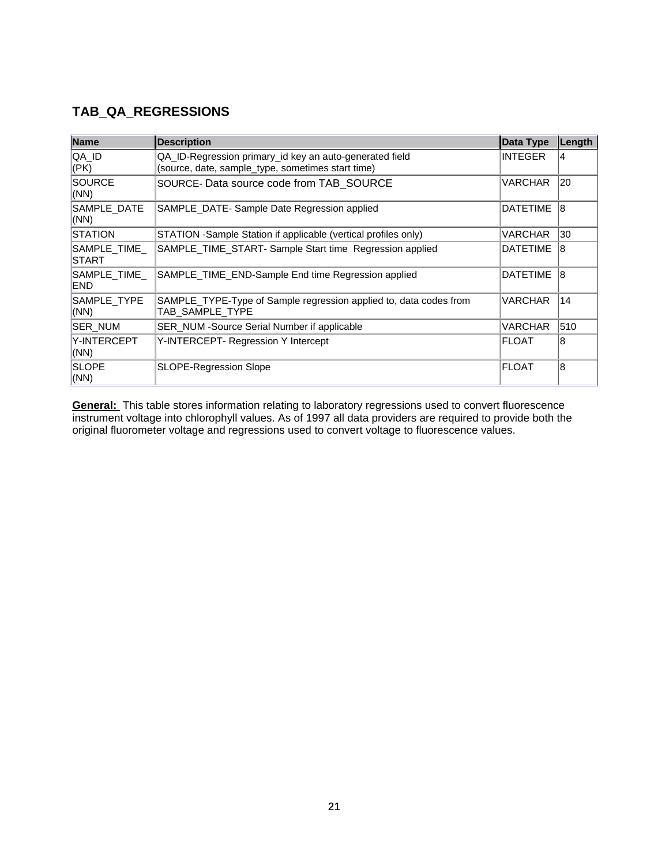#### **TAB\_QA\_REGRESSIONS**

| Name                         | <b>Description</b>                                                                                           | <b>Data Type</b> | Length |
|------------------------------|--------------------------------------------------------------------------------------------------------------|------------------|--------|
| QA_ID<br>$ $ (PK)            | QA_ID-Regression primary_id key an auto-generated field<br>(source, date, sample_type, sometimes start time) | <b>INTEGER</b>   | 14     |
| <b>SOURCE</b><br>(NN)        | SOURCE- Data source code from TAB SOURCE                                                                     | VARCHAR          | 20     |
| SAMPLE_DATE<br>(NN)          | SAMPLE_DATE- Sample Date Regression applied                                                                  | <b>DATETIME</b>  | 18     |
| <b>STATION</b>               | STATION - Sample Station if applicable (vertical profiles only)                                              | VARCHAR          | 30     |
| SAMPLE TIME<br><b>ISTART</b> | SAMPLE_TIME_START- Sample Start time Regression applied                                                      | <b>DATETIME</b>  | 18     |
| SAMPLE_TIME_<br>END          | SAMPLE TIME END-Sample End time Regression applied                                                           | <b>DATETIME</b>  | 18     |
| SAMPLE_TYPE<br>(NN)          | SAMPLE_TYPE-Type of Sample regression applied to, data codes from<br>TAB SAMPLE TYPE                         | VARCHAR          | 14     |
| SER_NUM                      | SER NUM - Source Serial Number if applicable                                                                 | VARCHAR          | 510    |
| Y-INTERCEPT<br>(NN)          | Y-INTERCEPT- Regression Y Intercept                                                                          | <b>FLOAT</b>     | 18     |
| <b>SLOPE</b><br> (NN)        | <b>SLOPE-Regression Slope</b>                                                                                | <b>FLOAT</b>     | 18     |

**General:** This table stores information relating to laboratory regressions used to convert fluorescence instrument voltage into chlorophyll values. As of 1997 all data providers are required to provide both the original fluorometer voltage and regressions used to convert voltage to fluorescence values.